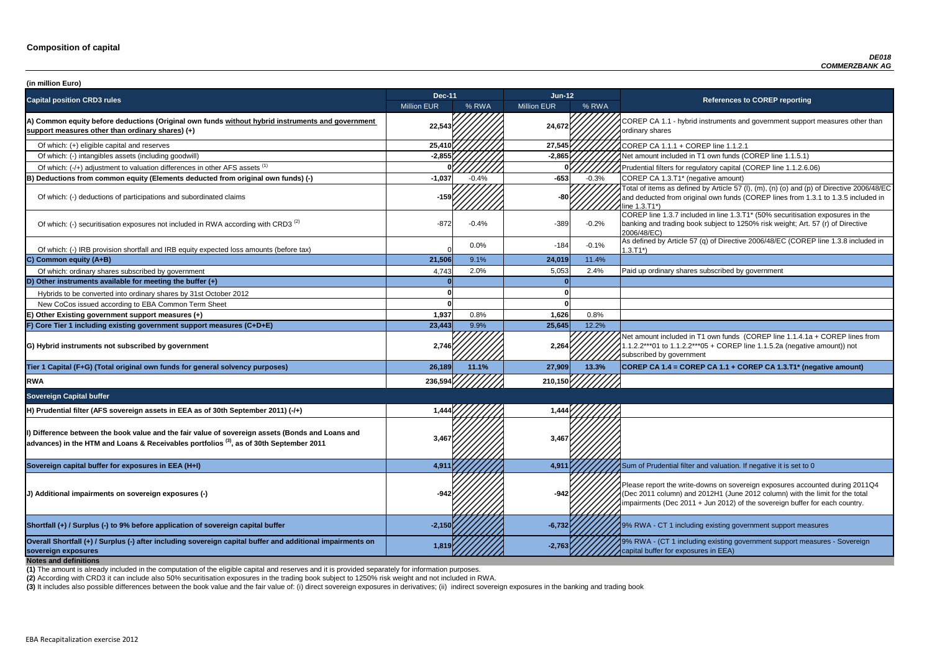P CA 1.1 - hybrid instruments and government support measures other than ry shares

of tial filters for regulatory capital (COREP line 1.1.2.6.06)

 $\frac{1}{2}$  items as defined by Article 57 (l), (m), (n) (o) and (p) of Directive 2006/48/EC ducted from original own funds (COREP lines from 1.3.1 to 1.3.5 included in  $I.71^*$ 

 $\overline{P}$  line 1.3.7 included in line 1.3.T1\* (50% securitisation exposures in the g and trading book subject to 1250% risk weight; Art. 57 (r) of Directive 8/EC)

ned by Article 57 (q) of Directive 2006/48/EC (COREP line 1.3.8 included in

nount included in T1 own funds (COREP line 1.1.4.1a + COREP lines from 1.1.2.2\*\*\*01 to 1.1.2.2\*\*\*05 + COREP line 1.1.5.2a (negative amount)) not ibed by government

| (in million Euro)                                                                                                                                                                                       |                    |         |                    |         |                                                                                                                                                                                   |
|---------------------------------------------------------------------------------------------------------------------------------------------------------------------------------------------------------|--------------------|---------|--------------------|---------|-----------------------------------------------------------------------------------------------------------------------------------------------------------------------------------|
| <b>Capital position CRD3 rules</b>                                                                                                                                                                      | <b>Dec-11</b>      |         | Jun-12             |         | <b>References to COREP reporting</b>                                                                                                                                              |
|                                                                                                                                                                                                         | <b>Million EUR</b> | % RWA   | <b>Million EUR</b> | % RWA   |                                                                                                                                                                                   |
| A) Common equity before deductions (Original own funds without hybrid instruments and government<br>support measures other than ordinary shares) (+)                                                    | 22,543             |         | 24,672             |         | COREP CA 1.1 - hybrid instruments and government suppo<br>ordinary shares                                                                                                         |
| Of which: (+) eligible capital and reserves                                                                                                                                                             | 25,410             |         | 27,545             |         | COREP CA 1.1.1 + COREP line 1.1.2.1                                                                                                                                               |
| Of which: (-) intangibles assets (including goodwill)                                                                                                                                                   | $-2,855$           |         | $-2,865$           |         | Net amount included in T1 own funds (COREP line 1.1.5.1)                                                                                                                          |
| Of which: (-/+) adjustment to valuation differences in other AFS assets <sup>(1)</sup>                                                                                                                  |                    |         |                    |         | Prudential filters for regulatory capital (COREP line 1.1.2.6.                                                                                                                    |
| B) Deductions from common equity (Elements deducted from original own funds) (-)                                                                                                                        | $-1,037$           | $-0.4%$ | $-653$             | $-0.3%$ | COREP CA 1.3.T1* (negative amount)                                                                                                                                                |
| Of which: (-) deductions of participations and subordinated claims                                                                                                                                      | $-159$             |         | -80                |         | Total of items as defined by Article 57 (I), (m), (n) (o) and (p<br>and deducted from original own funds (COREP lines from 1<br>line 1.3.T1*)                                     |
| Of which: (-) securitisation exposures not included in RWA according with CRD3 <sup>(2)</sup>                                                                                                           | $-872$             | $-0.4%$ | $-389$             | $-0.2%$ | COREP line 1.3.7 included in line 1.3.T1* (50% securitisation<br>banking and trading book subject to 1250% risk weight; Art.<br>2006/48/EC)                                       |
| Of which: (-) IRB provision shortfall and IRB equity expected loss amounts (before tax)                                                                                                                 |                    | 0.0%    | $-184$             | $-0.1%$ | As defined by Article 57 (q) of Directive 2006/48/EC (CORE<br>$1.3.T1*)$                                                                                                          |
| C) Common equity (A+B)                                                                                                                                                                                  | 21,506             | 9.1%    | 24,019             | 11.4%   |                                                                                                                                                                                   |
| Of which: ordinary shares subscribed by government                                                                                                                                                      | 4,743              | 2.0%    | 5,053              | 2.4%    | Paid up ordinary shares subscribed by government                                                                                                                                  |
| D) Other instruments available for meeting the buffer $(+)$                                                                                                                                             |                    |         |                    |         |                                                                                                                                                                                   |
| Hybrids to be converted into ordinary shares by 31st October 2012                                                                                                                                       |                    |         |                    |         |                                                                                                                                                                                   |
| New CoCos issued according to EBA Common Term Sheet                                                                                                                                                     |                    |         |                    |         |                                                                                                                                                                                   |
| E) Other Existing government support measures (+)                                                                                                                                                       | 1,937              | 0.8%    | 1,626              | 0.8%    |                                                                                                                                                                                   |
| F) Core Tier 1 including existing government support measures (C+D+E)                                                                                                                                   | 23,443             | 9.9%    | 25,645             | 12.2%   |                                                                                                                                                                                   |
| G) Hybrid instruments not subscribed by government                                                                                                                                                      | 2,746              |         | 2,264              |         | Net amount included in T1 own funds (COREP line 1.1.4.1a<br>1.1.2.2***01 to 1.1.2.2***05 + COREP line 1.1.5.2a (negativ<br>subscribed by government                               |
| Tier 1 Capital (F+G) (Total original own funds for general solvency purposes)                                                                                                                           | 26,189             | 11.1%   | 27,909             | 13.3%   | COREP CA 1.4 = COREP CA 1.1 + COREP CA 1.3.T1* (ne                                                                                                                                |
| <b>RWA</b>                                                                                                                                                                                              | 236,594            |         | 210,150            |         |                                                                                                                                                                                   |
| <b>Sovereign Capital buffer</b>                                                                                                                                                                         |                    |         |                    |         |                                                                                                                                                                                   |
| H) Prudential filter (AFS sovereign assets in EEA as of 30th September 2011) (-/+)                                                                                                                      | 1,444              |         | 1,444              |         |                                                                                                                                                                                   |
| II) Difference between the book value and the fair value of sovereign assets (Bonds and Loans and<br>advances) in the HTM and Loans & Receivables portfolios <sup>(3)</sup> , as of 30th September 2011 | 3,467              |         | 3,467              |         |                                                                                                                                                                                   |
| Sovereign capital buffer for exposures in EEA (H+I)                                                                                                                                                     | 4,911              |         | 4,911              |         | Sum of Prudential filter and valuation. If negative it is set to                                                                                                                  |
| (J) Additional impairments on sovereign exposures (-)                                                                                                                                                   |                    |         | $-942$             |         | Please report the write-downs on sovereign exposures acco<br>(Dec 2011 column) and 2012H1 (June 2012 column) with th<br>impairments (Dec 2011 + Jun 2012) of the sovereign buffer |
| Shortfall (+) / Surplus (-) to 9% before application of sovereign capital buffer                                                                                                                        | $-2,150$           |         | $-6,732$           |         | 19% RWA - CT 1 including existing government support mea                                                                                                                          |
| Overall Shortfall (+) / Surplus (-) after including sovereign capital buffer and additional impairments on<br>sovereign exposures<br><b>Notes and definitions</b>                                       | 1,819              |         | $-2,763$           |         | 9% RWA - (CT 1 including existing government support mea<br>capital buffer for exposures in EEA)                                                                                  |

**Tier 1 Capital (F+G) (Total original own funds for general solvency purposes) 26,189 11.1% 27,909 13.3% COREP CA 1.4 = COREP CA 1.1 + COREP CA 1.3.T1\* (negative amount)**

report the write-downs on sovereign exposures accounted during 2011Q4 (011 column) and 2012H1 (June 2012 column) with the limit for the total nents (Dec 2011 + Jun 2012) of the sovereign buffer for each country.

**A** - CT 1 including existing government support measures

**A** - (CT 1 including existing government support measures - Sovereign buffer for exposures in EEA)

**(2)** According with CRD3 it can include also 50% securitisation exposures in the trading book subject to 1250% risk weight and not included in RWA.

(3) It includes also possible differences between the book value and the fair value of: (i) direct sovereign exposures in derivatives; (ii) indirect sovereign exposures in the banking and trading book

**(1)** The amount is already included in the computation of the eligible capital and reserves and it is provided separately for information purposes.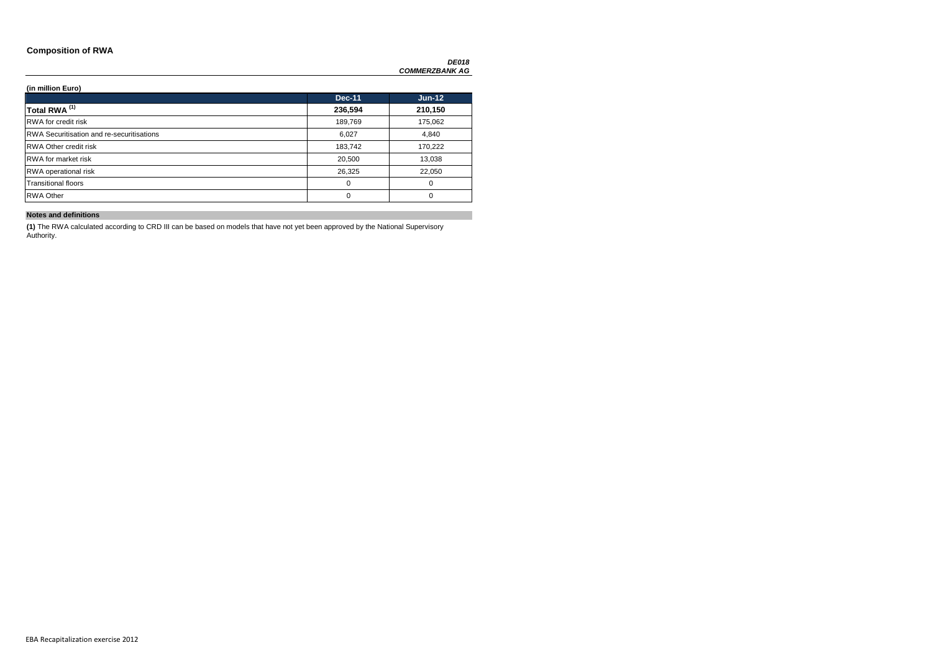### **Composition of RWA**

*DE018 COMMERZBANK AG*

### **(in million Euro)**

|                                                  | <b>Dec-11</b> | $Jun-12$ |
|--------------------------------------------------|---------------|----------|
| Total RWA <sup>(1)</sup>                         | 236,594       | 210,150  |
| <b>RWA</b> for credit risk                       | 189,769       | 175,062  |
| <b>RWA Securitisation and re-securitisations</b> | 6,027         | 4,840    |
| <b>RWA Other credit risk</b>                     | 183,742       | 170,222  |
| <b>RWA</b> for market risk                       | 20,500        | 13,038   |
| <b>RWA</b> operational risk                      | 26,325        | 22,050   |
| <b>Transitional floors</b>                       | 0             | 0        |
| <b>RWA Other</b>                                 | 0             | 0        |

### **Notes and definitions**

**(1)** The RWA calculated according to CRD III can be based on models that have not yet been approved by the National Supervisory Authority.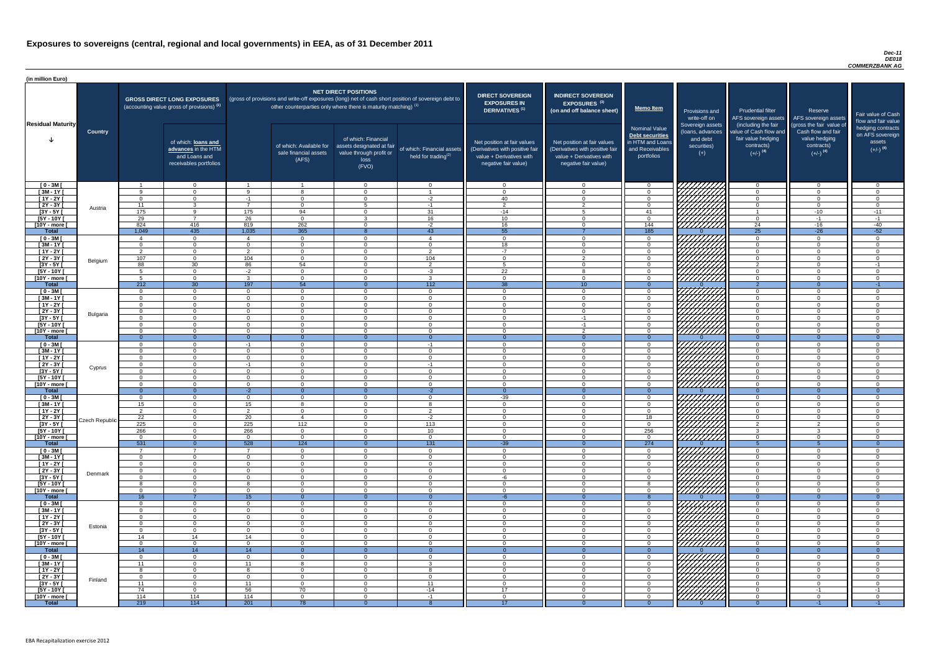#### *Dec-11 DE018 COMMERZBANK AG*

| (in million Euro)             |                 |                      |                                                                                             |                           |                                                                            |                                                                                              |                                                                                                     |                                                                                                                    |                                                                                                                    |                                                                                              |                                                                          |                                                                                                             |                                                                             |                                                                           |
|-------------------------------|-----------------|----------------------|---------------------------------------------------------------------------------------------|---------------------------|----------------------------------------------------------------------------|----------------------------------------------------------------------------------------------|-----------------------------------------------------------------------------------------------------|--------------------------------------------------------------------------------------------------------------------|--------------------------------------------------------------------------------------------------------------------|----------------------------------------------------------------------------------------------|--------------------------------------------------------------------------|-------------------------------------------------------------------------------------------------------------|-----------------------------------------------------------------------------|---------------------------------------------------------------------------|
| <b>Residual Maturity</b>      |                 |                      | <b>GROSS DIRECT LONG EXPOSURES</b><br>(accounting value gross of provisions) <sup>(1)</sup> |                           | other counterparties only where there is maturity matching) <sup>(1)</sup> | <b>NET DIRECT POSITIONS</b>                                                                  | (gross of provisions and write-off exposures (long) net of cash short position of sovereign debt to | <b>DIRECT SOVEREIGN</b><br><b>EXPOSURES IN</b><br><b>DERIVATIVES (1)</b>                                           | <b>INDIRECT SOVEREIGN</b><br><b>EXPOSURES<sup>(3)</sup></b><br>(on and off balance sheet)                          | <b>Memo Item</b>                                                                             | <b>Provisions and</b><br>write-off on                                    | <b>Prudential filter</b><br>AFS sovereign assets                                                            | Reserve<br>AFS sovereign assets<br>(gross the fair value of                 | Fair value of Cash<br>flow and fair value                                 |
|                               | <b>Country</b>  |                      | of which: loans and<br>advances in the HTM<br>and Loans and<br>receivables portfolios       |                           | of which: Available for<br>sale financial assets<br>(AFS)                  | of which: Financial<br>assets designated at fair<br>value through profit or<br>loss<br>(FVO) | of which: Financial assets<br>held for trading $(2)$                                                | Net position at fair values<br>(Derivatives with positive fair<br>value + Derivatives with<br>negative fair value) | Net position at fair values<br>(Derivatives with positive fair<br>value + Derivatives with<br>negative fair value) | <b>Nominal Value</b><br>Debt securities<br>in HTM and Loans<br>and Receivables<br>portfolios | Sovereign assets<br>(loans, advances<br>and debt<br>securities)<br>$(+)$ | (including the fair<br>value of Cash flow and<br>fair value hedging<br>contracts)<br>$(+/-)$ <sup>(4)</sup> | Cash flow and fair<br>value hedging<br>contracts)<br>$(+/-)$ <sup>(4)</sup> | hedging contracts<br>on AFS sovereign<br>assets<br>$(+/-)$ <sup>(4)</sup> |
| $[0 - 3M]$                    |                 | Q                    | $\Omega$<br>$\Omega$                                                                        | $\Omega$                  |                                                                            | $\cap$<br>$\Omega$                                                                           | $\overline{0}$                                                                                      | $\Omega$<br>$\Omega$                                                                                               | $\Omega$                                                                                                           | $\Omega$                                                                                     | 777777777                                                                | $\cap$<br>$\Omega$                                                                                          | $\overline{0}$                                                              | $\Omega$                                                                  |
| $[3M - 1Y]$<br>$[1Y - 2Y]$    |                 | $\Omega$             | $\Omega$                                                                                    | -1                        | 8<br>$\Omega$                                                              | $\Omega$                                                                                     | $-2$                                                                                                | 40                                                                                                                 | $\Omega$<br>$\Omega$                                                                                               | $\Omega$                                                                                     |                                                                          | $\Omega$                                                                                                    | $\Omega$<br>$\Omega$                                                        | $\overline{0}$<br>$\Omega$                                                |
| $[2Y - 3Y]$                   | Austria         | 11                   | $\mathbf{R}$                                                                                | $\overline{z}$            | $\Omega$                                                                   | Б.                                                                                           | $-1$                                                                                                | $\mathcal{D}$                                                                                                      | $\mathcal{P}$                                                                                                      | $\Omega$                                                                                     |                                                                          | $\Omega$                                                                                                    | $\overline{0}$                                                              | $\Omega$                                                                  |
| $[3Y - 5Y]$                   |                 | 175                  | Q                                                                                           | 175                       | 94                                                                         | $\Omega$                                                                                     | 31                                                                                                  | $-14$                                                                                                              |                                                                                                                    | 41                                                                                           |                                                                          |                                                                                                             | $-10$                                                                       | $-11$                                                                     |
| $[5Y - 10Y]$                  |                 | 29                   | $\overline{7}$                                                                              | 26                        | $\Omega$                                                                   | $\mathcal{R}$                                                                                | 16                                                                                                  | 10 <sup>1</sup>                                                                                                    | $\Omega$                                                                                                           | $\Omega$                                                                                     | <u>UMMA</u>                                                              | $\Omega$                                                                                                    | $-1$                                                                        | $-1$                                                                      |
| [10Y - more [<br><b>Total</b> |                 | 824<br>1,049         | 416<br>$-435$                                                                               | 819<br>1,035              | 262<br>365                                                                 | $\cap$                                                                                       | $-2$<br>43                                                                                          | 16<br>55                                                                                                           | $\Omega$                                                                                                           | 144<br>185                                                                                   |                                                                          | 24<br>25                                                                                                    | $-16$<br>$-26$                                                              | $-40$<br>$-52$                                                            |
| $[0 - 3M]$                    |                 | $\overline{4}$       | $\Omega$                                                                                    | $\boldsymbol{\Lambda}$    | $\overline{0}$                                                             | $\Omega$                                                                                     | $\overline{4}$                                                                                      | <u>___</u>                                                                                                         | $\Omega$                                                                                                           | _റ                                                                                           | <u>777777777</u>                                                         | $\Omega$                                                                                                    | $\overline{0}$                                                              | $\Omega$                                                                  |
| $[3M - 1Y]$                   |                 | $\Omega$             | $\overline{0}$                                                                              | $\Omega$                  | $\Omega$                                                                   | $\cap$                                                                                       | $\Omega$                                                                                            | 18                                                                                                                 | $\Omega$                                                                                                           | $\cap$                                                                                       |                                                                          | $\Omega$                                                                                                    | $\overline{0}$                                                              | $\Omega$                                                                  |
| $[1Y - 2Y]$                   |                 | $\overline{2}$       | $\overline{0}$                                                                              | $\overline{2}$            | $\overline{0}$                                                             | $\Omega$                                                                                     | $\overline{2}$                                                                                      | $-7$                                                                                                               | $\Omega$                                                                                                           | $\Omega$                                                                                     |                                                                          | $\Omega$                                                                                                    | $\overline{0}$                                                              | $\overline{0}$                                                            |
| $[2Y - 3Y]$                   | Belgium         | 107                  | $\overline{0}$                                                                              | 104                       | $\Omega$                                                                   | $\Omega$                                                                                     | 104                                                                                                 | $\Omega$<br>$\sqrt{2}$                                                                                             | $\mathcal{P}$                                                                                                      | $\cap$<br>$\cap$                                                                             |                                                                          | $\Omega$                                                                                                    | $\overline{0}$                                                              | $\overline{0}$                                                            |
| $[3Y - 5Y]$<br>$[5Y - 10Y]$   |                 | 88<br>-5             | 30<br>$\Omega$                                                                              | 86<br>$-2$                | 54<br>$\Omega$                                                             | $\Omega$<br>$\Omega$                                                                         | $\overline{2}$<br>$-3$                                                                              | $\overline{22}$                                                                                                    | $\Omega$                                                                                                           | $\cap$                                                                                       |                                                                          | $\overline{2}$<br>$\Omega$                                                                                  | $\overline{0}$<br>$\overline{0}$                                            | $-1$<br>$\Omega$                                                          |
| [10Y - more [                 |                 | -5                   | $\Omega$                                                                                    | ્ર                        | $\Omega$                                                                   | $\Omega$                                                                                     | $\mathbf{3}$                                                                                        | $\cap$                                                                                                             | $\Omega$                                                                                                           | $\cap$                                                                                       | <u> 777777777</u>                                                        | $\Omega$                                                                                                    | $\Omega$                                                                    | $\Omega$                                                                  |
| <b>Total</b>                  |                 | 212                  | 30                                                                                          | 197                       | 54                                                                         | $\Omega$                                                                                     | 112                                                                                                 | $\overline{38}$                                                                                                    | 10                                                                                                                 | $\Omega$                                                                                     |                                                                          | $\overline{2}$                                                                                              | $\Omega$                                                                    | $-1$                                                                      |
| $[0 - 3M]$                    |                 | $\Omega$             | $\Omega$                                                                                    | $\Omega$                  | $\Omega$                                                                   | $\Omega$                                                                                     | $\overline{0}$                                                                                      | $\Omega$                                                                                                           | $\Omega$                                                                                                           | $\cap$                                                                                       |                                                                          | $\Omega$                                                                                                    | $\Omega$                                                                    | $\Omega$                                                                  |
| $[3M - 1Y]$                   |                 | $\Omega$             | $\Omega$                                                                                    | $\Omega$                  | $\Omega$                                                                   | $\cap$                                                                                       | $\Omega$                                                                                            | $\Omega$                                                                                                           | $\Omega$                                                                                                           |                                                                                              |                                                                          | $\Omega$<br>$\Omega$                                                                                        | $\Omega$                                                                    | $\Omega$<br>$\Omega$                                                      |
| $[1Y - 2Y]$<br>[2Y - 3Y [     |                 | $\Omega$<br>$\Omega$ | $\Omega$<br>$\Omega$                                                                        | $\Omega$<br>$\Omega$      | $\Omega$<br>$\Omega$                                                       | $\Omega$<br>$\Omega$                                                                         | $\Omega$<br>$\Omega$                                                                                | $\cap$<br>$\cap$                                                                                                   | $\Omega$<br>$\Omega$                                                                                               | $\cap$                                                                                       | <i>ШША</i>                                                               | $\cap$                                                                                                      | $\Omega$<br>$\Omega$                                                        | $\cap$                                                                    |
| <u>[3Y - 5Y  </u>             | <b>Bulgaria</b> |                      |                                                                                             |                           |                                                                            |                                                                                              |                                                                                                     |                                                                                                                    | $-1$                                                                                                               |                                                                                              |                                                                          |                                                                                                             |                                                                             |                                                                           |
| $[5Y - 10Y]$                  |                 | $\Omega$             | $\Omega$                                                                                    | $\Omega$                  | $\Omega$                                                                   | $\Omega$                                                                                     | $\Omega$                                                                                            | $\Omega$                                                                                                           | $-1$                                                                                                               | $\Omega$                                                                                     | <u>Hittittii</u>                                                         | $\Omega$                                                                                                    | $\overline{0}$                                                              |                                                                           |
| [10Y - more [                 |                 | $\Omega$             | $\Omega$                                                                                    | $\Omega$                  | $\Omega$                                                                   | $\Omega$                                                                                     | $\Omega$                                                                                            | $\Omega$                                                                                                           | $\mathcal{P}$                                                                                                      | $\cap$                                                                                       |                                                                          | $\Omega$                                                                                                    | $\overline{0}$                                                              | $\Omega$                                                                  |
| <b>Total</b>                  |                 | $\Omega$             | $\overline{0}$<br>$\Omega$                                                                  | $\Omega$                  | $\Omega$<br>$\Omega$                                                       | $\Omega$<br>$\Omega$                                                                         | $\overline{0}$                                                                                      | $\Omega$<br>$\Omega$                                                                                               | $\Omega$<br>$\Omega$                                                                                               | $\Omega$<br>$\Omega$                                                                         |                                                                          | $\Omega$<br>$\Omega$                                                                                        | $\Omega$                                                                    | $\Omega$<br>$\Omega$                                                      |
| $[0 - 3M]$<br>$[3M - 1Y]$     |                 | $\Omega$<br>$\Omega$ | $\Omega$                                                                                    | $-1$<br>$\Omega$          | $\Omega$                                                                   | $\Omega$                                                                                     | $-1$<br>$\overline{0}$                                                                              | $\Omega$                                                                                                           | $\mathbf 0$                                                                                                        | $\Omega$                                                                                     | 77777777                                                                 | $\Omega$                                                                                                    | $\overline{0}$<br>$\overline{0}$                                            |                                                                           |
| $[1Y - 2Y]$                   |                 | $\overline{0}$       | $\Omega$                                                                                    | $\Omega$                  | $\Omega$                                                                   | ∩                                                                                            | $\Omega$                                                                                            | $\Omega$                                                                                                           | $\Omega$                                                                                                           | $\Omega$                                                                                     | 77777777                                                                 | $\Omega$                                                                                                    | $\Omega$                                                                    |                                                                           |
| $[2Y - 3Y]$                   | Cyprus          | $\overline{0}$       | $\Omega$                                                                                    | -1                        | $\Omega$                                                                   |                                                                                              | $-1$                                                                                                | $\Omega$                                                                                                           | $\overline{0}$                                                                                                     |                                                                                              | <u>VII</u> IIII.                                                         | $\Omega$                                                                                                    | $\overline{0}$                                                              |                                                                           |
| $[3Y - 5Y]$                   |                 | 0                    | $\Omega$                                                                                    | $\Omega$                  | - ೧                                                                        | $\Omega$                                                                                     | $\Omega$                                                                                            | $\Omega$                                                                                                           | $\Omega$                                                                                                           |                                                                                              | 777777777                                                                | - 0                                                                                                         | $\overline{0}$                                                              | $\Omega$                                                                  |
| [5Y - 10Y]<br>[10Y - more [   |                 | - 0<br>- റ           | $\Omega$<br>$\cap$                                                                          | $\Omega$<br>$\Omega$      | - 0<br>$\Omega$                                                            | $\Omega$<br>$\cap$                                                                           | $\Omega$<br>$\Omega$                                                                                | $\Omega$<br>$\Omega$                                                                                               | $\Omega$<br>$\Omega$                                                                                               | $\Omega$<br>$\cap$                                                                           | 777777777                                                                | $\Omega$<br>$\cap$                                                                                          | $\overline{0}$<br>$\Omega$                                                  | $\Omega$<br>$\Omega$                                                      |
| <b>Total</b>                  |                 | - റ                  | $\Omega$                                                                                    | $-2$                      | $\Omega$                                                                   |                                                                                              | $-2$                                                                                                |                                                                                                                    |                                                                                                                    |                                                                                              |                                                                          | $\Omega$                                                                                                    |                                                                             |                                                                           |
| $[0 - 3M]$                    |                 | $\Omega$             | $\Omega$                                                                                    | $\Omega$                  | $\Omega$                                                                   | $\Omega$                                                                                     | $\Omega$                                                                                            | $-39$                                                                                                              | $\Omega$                                                                                                           | $\Omega$                                                                                     |                                                                          | $\Omega$                                                                                                    | $\overline{0}$                                                              | $\Omega$                                                                  |
| $\sqrt{3M-1Y}$                |                 | 15                   | $\overline{0}$                                                                              | 15                        | 8                                                                          | $\Omega$                                                                                     | 8                                                                                                   | $\Omega$                                                                                                           | $\Omega$                                                                                                           | $\overline{0}$                                                                               | <i>077777777</i>                                                         | $\overline{0}$                                                                                              | $\overline{0}$                                                              | $\Omega$                                                                  |
| $[1Y - 2Y]$                   |                 | $\overline{2}$       | $\overline{0}$                                                                              | $\overline{2}$            | $\overline{0}$<br>$\overline{4}$                                           | $\Omega$<br>$\Omega$                                                                         | $\overline{2}$                                                                                      | $\Omega$<br>- 0                                                                                                    | $\Omega$<br>$\Omega$                                                                                               | $\Omega$                                                                                     | <u>777777777</u><br>77777777                                             | $\overline{0}$<br>$\Omega$                                                                                  | $\overline{0}$                                                              | $\Omega$<br>- 0                                                           |
| [2Y - 3Y [<br>$[3Y - 5Y]$     | Czech Republic  | 22<br>225            | $\overline{0}$<br>$\overline{0}$                                                            | 20<br>225                 | 112                                                                        | $\Omega$                                                                                     | $-2$<br>113                                                                                         | $\Omega$                                                                                                           | $\overline{0}$                                                                                                     | 18<br>$\overline{0}$                                                                         |                                                                          | $\overline{2}$                                                                                              | $\overline{0}$<br>$\overline{2}$                                            | $\Omega$                                                                  |
| $[5Y - 10Y]$                  |                 | 266                  | $\overline{0}$                                                                              | 266                       | $\Omega$                                                                   | $\Omega$                                                                                     | 10 <sup>1</sup>                                                                                     | $\Omega$                                                                                                           | $\Omega$                                                                                                           | 256                                                                                          |                                                                          | $\mathbf{B}$                                                                                                | $\mathbf{3}$                                                                | $\Omega$                                                                  |
| [10Y - more [                 |                 | $\Omega$             | $\Omega$                                                                                    | $\Omega$                  | $\Omega$                                                                   | $\Omega$                                                                                     | $\overline{0}$                                                                                      | $\cap$                                                                                                             | $\Omega$                                                                                                           | $\cap$                                                                                       | <u> 77777777</u>                                                         | $\Omega$                                                                                                    | $\Omega$                                                                    | $\Omega$                                                                  |
| <b>Total</b>                  |                 | 531<br>- 7           | $\overline{0}$<br>$\overline{7}$                                                            | 528<br>$\overline{7}$     | 124<br>$\Omega$                                                            | $\Omega$<br>$\Omega$                                                                         | 131<br>$\overline{0}$                                                                               | $-39$<br>$\Omega$                                                                                                  | $\Omega$<br>$\Omega$                                                                                               | 274<br>$\Omega$                                                                              |                                                                          | $\Omega$                                                                                                    | $\Omega$                                                                    | $\Omega$<br>$\Omega$                                                      |
| $[0 - 3M]$<br>$\sqrt{3M-11}$  |                 | $\Omega$             | $\Omega$                                                                                    | $\Omega$                  | $\Omega$                                                                   | $\Omega$                                                                                     | $\overline{0}$                                                                                      | $\cap$                                                                                                             | $\Omega$                                                                                                           | $\cap$                                                                                       |                                                                          | $\Omega$                                                                                                    | $\overline{0}$                                                              | $\Omega$                                                                  |
| $[1Y - 2Y]$                   |                 | $\Omega$             | $\Omega$                                                                                    | $\Omega$                  | $\Omega$                                                                   | $\Omega$                                                                                     | $\overline{0}$                                                                                      | $\Omega$                                                                                                           | $\Omega$                                                                                                           | $\cap$                                                                                       |                                                                          | $\Omega$                                                                                                    | $\overline{0}$                                                              | $\Omega$                                                                  |
| $[2Y - 3Y]$                   | Denmark         | $\Omega$             | $\Omega$                                                                                    | $\Omega$                  | $\Omega$                                                                   | $\Omega$                                                                                     | $\overline{0}$                                                                                      | $\Omega$                                                                                                           | $\Omega$                                                                                                           | $\cap$                                                                                       |                                                                          | $\Omega$                                                                                                    | $\overline{0}$                                                              | $\Omega$                                                                  |
| $[3Y - 5Y]$                   |                 | $\Omega$<br>-8       | $\Omega$<br>$\Omega$                                                                        | $\Omega$<br>$\mathcal{R}$ | $\Omega$<br>$\Omega$                                                       | $\Omega$<br>$\Omega$                                                                         | $\overline{0}$                                                                                      | -6<br>$\Omega$                                                                                                     | $\Omega$<br>$\Omega$                                                                                               | $\cap$<br>$\mathbf{R}$                                                                       | HHHH                                                                     | $\Omega$<br>$\Omega$                                                                                        | $\overline{0}$<br>$\overline{0}$                                            | $\Omega$<br>$\Omega$                                                      |
| $[5Y - 10Y]$<br>[10Y - more [ |                 | $\Omega$             | $\Omega$                                                                                    | $\Omega$                  | $\Omega$                                                                   | $\Omega$                                                                                     | $\overline{0}$<br>$\Omega$                                                                          | $\Omega$                                                                                                           | $\Omega$                                                                                                           | $\cap$                                                                                       |                                                                          | $\cap$                                                                                                      | $\Omega$                                                                    | $\Omega$                                                                  |
| <b>Total</b>                  |                 | 16                   | $\overline{7}$                                                                              | 15                        | $\Omega$                                                                   | $\Omega$                                                                                     | $\Omega$                                                                                            | $-6$                                                                                                               | $\Omega$                                                                                                           | 8                                                                                            |                                                                          | $\Omega$                                                                                                    | $\overline{0}$                                                              | $\Omega$                                                                  |
| $[0 - 3M]$                    |                 | $\Omega$             | $\Omega$                                                                                    | $\Omega$                  | $\Omega$                                                                   | $\Omega$                                                                                     | $\Omega$                                                                                            | $\Omega$                                                                                                           | $\Omega$                                                                                                           | $\Omega$                                                                                     |                                                                          | $\Omega$                                                                                                    | $\Omega$                                                                    | $\Omega$                                                                  |
| $[3M - 1Y]$                   |                 | $\Omega$             | $\Omega$                                                                                    | $\Omega$                  | $\Omega$                                                                   | $\cap$                                                                                       | $\Omega$                                                                                            | $\Omega$                                                                                                           | $\Omega$                                                                                                           |                                                                                              |                                                                          | $\cap$                                                                                                      | $\Omega$                                                                    |                                                                           |
| $[1Y - 2Y]$<br>$[2Y - 3Y]$    |                 | $\Omega$<br>$\Omega$ | $\cap$<br>$\Omega$                                                                          | $\Omega$<br>$\Omega$      | $\Omega$<br>$\Omega$                                                       | $\Omega$                                                                                     | $\Omega$<br>$\Omega$                                                                                | $\Omega$                                                                                                           | $\Omega$<br>$\Omega$                                                                                               |                                                                                              |                                                                          | $\Omega$                                                                                                    | $\Omega$<br>$\overline{0}$                                                  |                                                                           |
| $[3Y - 5Y]$                   | Estonia         | $\Omega$             |                                                                                             | $\Omega$                  | $\Omega$                                                                   |                                                                                              | $\Omega$                                                                                            |                                                                                                                    | $\Omega$                                                                                                           |                                                                                              | 77777777                                                                 |                                                                                                             | $\Omega$                                                                    |                                                                           |
| [5Y - 10Y]                    |                 | 14                   | 14                                                                                          | 14                        | $\Omega$                                                                   | $\Omega$                                                                                     | $\Omega$                                                                                            | $\Omega$                                                                                                           | $\Omega$                                                                                                           |                                                                                              |                                                                          | $\Omega$                                                                                                    | $\Omega$                                                                    | $\Omega$                                                                  |
| [10Y - more [                 |                 | - 0                  | $\Omega$                                                                                    | $\Omega$                  | $\Omega$                                                                   | $\Omega$                                                                                     | $\Omega$                                                                                            | $\Omega$                                                                                                           | $\Omega$                                                                                                           | $\cap$                                                                                       | 77777777                                                                 | $\Omega$                                                                                                    | $\Omega$                                                                    | $\Omega$                                                                  |
| <b>Total</b><br>$[0 - 3M]$    |                 | 14<br>$\Omega$       | 14<br>$\cap$                                                                                | 14<br>$\Omega$            | - 0<br>$\Omega$                                                            |                                                                                              | $\Omega$<br>$\Omega$                                                                                | $\cap$                                                                                                             | $\Omega$                                                                                                           |                                                                                              | 777777777                                                                | $\Omega$<br>$\Omega$                                                                                        | $\Omega$                                                                    |                                                                           |
| $[3M - 1Y]$                   |                 | 11                   | $\overline{0}$                                                                              | 11                        | 8                                                                          | $\Omega$                                                                                     | $\mathbf{3}$                                                                                        | $\mathbf 0$                                                                                                        | $\mathbf 0$                                                                                                        | $\overline{0}$                                                                               |                                                                          | $\mathbf 0$                                                                                                 | $\overline{0}$                                                              |                                                                           |
| $[1Y - 2Y]$                   |                 | -8                   | $\overline{0}$                                                                              | -8                        | $\overline{0}$                                                             | $\Omega$                                                                                     | - 8                                                                                                 | $\overline{0}$                                                                                                     | $\overline{0}$                                                                                                     | $\overline{0}$                                                                               | William                                                                  | $\overline{0}$                                                                                              | $\overline{0}$                                                              | $\overline{0}$                                                            |
| $[2Y - 3Y]$                   | Finland         | $\overline{0}$       | $\overline{0}$                                                                              | $\overline{0}$            | $\overline{0}$                                                             | $\Omega$                                                                                     | $\overline{0}$                                                                                      | $\overline{0}$                                                                                                     | $\Omega$                                                                                                           | $\Omega$                                                                                     |                                                                          | $\overline{0}$                                                                                              | $\overline{0}$                                                              | $\Omega$                                                                  |
| $[3Y - 5Y]$                   |                 | 11                   | $\overline{0}$                                                                              | 11                        | $\overline{0}$                                                             | $\overline{0}$                                                                               | 11                                                                                                  | $\overline{0}$                                                                                                     | $\overline{0}$                                                                                                     | $\overline{0}$                                                                               |                                                                          | $\overline{0}$                                                                                              | $\overline{0}$                                                              | $\overline{0}$                                                            |
| $[5Y - 10Y]$<br>[10Y - more [ |                 | 74<br>114            | $\overline{0}$<br>114                                                                       | 56<br>114                 | 70<br>$\Omega$                                                             | $\overline{0}$<br>$\Omega$                                                                   | $-14$<br>$-1$                                                                                       | 17<br>$\Omega$                                                                                                     | $\overline{0}$<br>$\Omega$                                                                                         | $\overline{0}$<br>$\Omega$                                                                   | 77777777                                                                 | - 0<br>$\Omega$                                                                                             | -1<br>$\Omega$                                                              | $-1$<br>$\Omega$                                                          |
| <b>Total</b>                  |                 | 219                  | 114                                                                                         | 201                       | 78                                                                         |                                                                                              |                                                                                                     | 17                                                                                                                 |                                                                                                                    |                                                                                              |                                                                          | - 0                                                                                                         | $-1$                                                                        | $-1$                                                                      |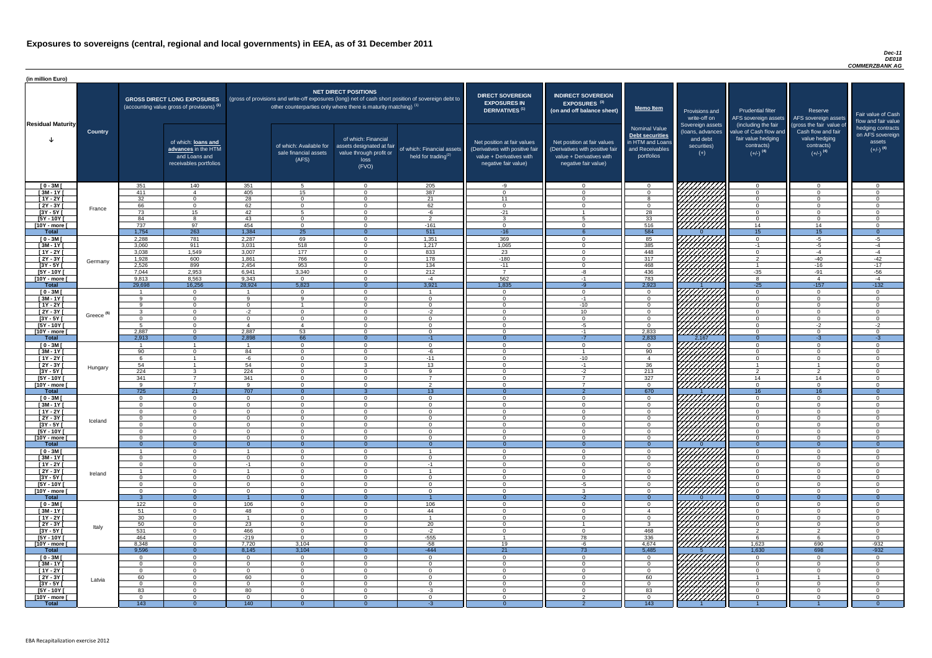#### *Dec-11 DE018 COMMERZBANK AG*

| (in million Euro)             |                       |                      |                                                                                             |                        |                                                                                                     |                                                                                                           |                                                      |                                                                                                                    |                                                                                                                    |                                                                                              |                                                                          |                                                                                                             |                                                                                                         |                                                                           |
|-------------------------------|-----------------------|----------------------|---------------------------------------------------------------------------------------------|------------------------|-----------------------------------------------------------------------------------------------------|-----------------------------------------------------------------------------------------------------------|------------------------------------------------------|--------------------------------------------------------------------------------------------------------------------|--------------------------------------------------------------------------------------------------------------------|----------------------------------------------------------------------------------------------|--------------------------------------------------------------------------|-------------------------------------------------------------------------------------------------------------|---------------------------------------------------------------------------------------------------------|---------------------------------------------------------------------------|
| <b>Residual Maturity</b>      |                       |                      | <b>GROSS DIRECT LONG EXPOSURES</b><br>(accounting value gross of provisions) <sup>(1)</sup> |                        | (gross of provisions and write-off exposures (long) net of cash short position of sovereign debt to | <b>NET DIRECT POSITIONS</b><br>other counterparties only where there is maturity matching) <sup>(1)</sup> |                                                      | <b>DIRECT SOVEREIGN</b><br><b>EXPOSURES IN</b><br><b>DERIVATIVES (1)</b>                                           | <b>INDIRECT SOVEREIGN</b><br><b>EXPOSURES<sup>(3)</sup></b><br>(on and off balance sheet)                          | <b>Memo Item</b>                                                                             | Provisions and<br>write-off on                                           | <b>Prudential filter</b>                                                                                    | Reserve<br>AFS sovereign assets AFS sovereign assets                                                    | Fair value of Cash<br>flow and fair value                                 |
|                               | <b>Country</b>        |                      | of which: loans and<br>advances in the HTM<br>and Loans and<br>receivables portfolios       |                        | of which: Available for<br>sale financial assets<br>(AFS)                                           | of which: Financial<br>assets designated at fair<br>value through profit or<br>loss<br>(FVO)              | of which: Financial assets<br>held for trading $(2)$ | Net position at fair values<br>(Derivatives with positive fair<br>value + Derivatives with<br>negative fair value) | Net position at fair values<br>(Derivatives with positive fair<br>value + Derivatives with<br>negative fair value) | <b>Nominal Value</b><br>Debt securities<br>in HTM and Loans<br>and Receivables<br>portfolios | Sovereign assets<br>(loans, advances<br>and debt<br>securities)<br>$(+)$ | (including the fair<br>value of Cash flow and<br>fair value hedging<br>contracts)<br>$(+/-)$ <sup>(4)</sup> | (gross the fair value of<br>Cash flow and fair<br>value hedging<br>contracts)<br>$(+/-)$ <sup>(4)</sup> | hedging contracts<br>on AFS sovereign<br>assets<br>$(+/-)$ <sup>(4)</sup> |
| $[0 - 3M]$                    |                       | 351                  | 140                                                                                         | 351                    | 5 <sup>5</sup>                                                                                      | $\Omega$                                                                                                  | 205                                                  | -9                                                                                                                 | $\overline{0}$                                                                                                     | $\Omega$                                                                                     |                                                                          | റ                                                                                                           | $\overline{0}$                                                                                          | $\overline{0}$                                                            |
| $[3M - 1Y]$                   |                       | 411<br>32            | $\overline{4}$<br>$\Omega$                                                                  | 405<br>28              | 15<br>$\Omega$                                                                                      | $\Omega$<br>$\Omega$                                                                                      | 387<br>21                                            | $\cap$                                                                                                             | $\Omega$<br>$\Omega$                                                                                               |                                                                                              |                                                                          | $\cap$<br>$\Omega$                                                                                          | $\Omega$<br>$\Omega$                                                                                    | $\Omega$<br>$\Omega$                                                      |
| $[1Y - 2Y]$<br>$[2Y - 3Y]$    |                       | 66                   | $\Omega$                                                                                    | 62                     | $\Omega$                                                                                            | $\Omega$                                                                                                  | 62                                                   | 11<br>$\Omega$                                                                                                     | $\Omega$                                                                                                           | $\cap$                                                                                       |                                                                          | $\cap$                                                                                                      | $\overline{0}$                                                                                          | $\Omega$                                                                  |
| $[3Y - 5Y]$                   | France                | 73                   | 15                                                                                          | 42                     | 5 <sup>5</sup>                                                                                      | $\Omega$                                                                                                  | $-6$                                                 | $-21$                                                                                                              |                                                                                                                    | 28                                                                                           | HAAAA<br>HAAAAA                                                          | $\cap$                                                                                                      | $\overline{0}$                                                                                          | $\Omega$                                                                  |
| [5Y - 10Y [                   |                       | 84                   | $\Omega$                                                                                    | 43                     | $\Omega$                                                                                            | $\Omega$                                                                                                  | 2                                                    | ່າ                                                                                                                 |                                                                                                                    | 33                                                                                           |                                                                          | $\cap$                                                                                                      | $\overline{0}$                                                                                          | $\Omega$                                                                  |
| [10Y - more [                 |                       | 737                  | 97                                                                                          | 454                    | $\overline{0}$                                                                                      | $\Omega$                                                                                                  | $-161$                                               | $\Omega$                                                                                                           | $\Omega$                                                                                                           | 516                                                                                          |                                                                          | 14                                                                                                          | 14                                                                                                      | $\Omega$                                                                  |
| <b>Total</b>                  |                       | 1,754                | $\overline{263}$                                                                            | 1,384<br>2,287         | $\overline{25}$                                                                                     | $\Omega$<br>$\Omega$                                                                                      | 511                                                  | $-16$                                                                                                              | $\Omega$                                                                                                           | 584                                                                                          |                                                                          | 15<br>$\Omega$                                                                                              | 15                                                                                                      | $\overline{0}$                                                            |
| $[0 - 3M]$<br>$[3M - 1Y]$     |                       | 2,288<br>3,060       | 781<br>911                                                                                  | 3,031                  | 69<br>518                                                                                           | $\cap$                                                                                                    | 1,351<br>1,217                                       | 369<br>1,065                                                                                                       | $\Omega$                                                                                                           | 85<br>385                                                                                    |                                                                          | $-1$                                                                                                        | $-5$<br>$-5$                                                                                            | $-5$<br>$-4$                                                              |
| $\boxed{1Y - 2Y}$             |                       | 3,038                | 1,549                                                                                       | 3,007                  | 177                                                                                                 | $\cap$                                                                                                    | 833                                                  | 23                                                                                                                 | $\Omega$                                                                                                           | 448                                                                                          | 77777777                                                                 | $\Omega$                                                                                                    | $-4$                                                                                                    | $-4$                                                                      |
| [2Y - 3Y [                    | Germany               | 1,928                | 600                                                                                         | 1,861                  | 766                                                                                                 | $\Omega$                                                                                                  | 178                                                  | $-180$                                                                                                             | $\Omega$                                                                                                           | 317                                                                                          | ,,,,,,,,,,,,                                                             | $\overline{2}$                                                                                              | $-40$                                                                                                   | $-42$                                                                     |
| $[3Y - 5Y]$                   |                       | 2,526                | 899                                                                                         | 2,454                  | 953                                                                                                 |                                                                                                           | $\overline{134}$                                     | $-11$                                                                                                              | $\Omega$                                                                                                           | 468                                                                                          |                                                                          |                                                                                                             | $-16$                                                                                                   | $-17$                                                                     |
| $[5Y - 10Y]$                  |                       | 7,044                | 2,953<br>8,563                                                                              | 6,941<br>9,343         | 3,340<br>$\Omega$                                                                                   | $\cap$<br>$\cap$                                                                                          | 212<br>$-4$                                          | 562                                                                                                                | $-8$<br>$-1$                                                                                                       | 436<br>783                                                                                   |                                                                          | $-35$<br>-8                                                                                                 | -91<br>$\overline{4}$                                                                                   | $-56$<br>$-4$                                                             |
| [10Y - more [<br><b>Total</b> |                       | 9,813<br>29,698      | 16,256                                                                                      | 28,924                 | 5,823                                                                                               | $\Omega$                                                                                                  | 3,921                                                | 1,835                                                                                                              | $-9$                                                                                                               | 2,923                                                                                        |                                                                          | $-25$                                                                                                       | $-157$                                                                                                  | $-132$                                                                    |
| $[0 - 3M]$                    |                       |                      | $\Omega$                                                                                    |                        | $\Omega$                                                                                            | $\cap$                                                                                                    | $\overline{1}$                                       | - റ                                                                                                                | $\Omega$                                                                                                           | $\cap$                                                                                       | 777777777                                                                | $\Omega$                                                                                                    | $\Omega$                                                                                                | $\Omega$                                                                  |
| $[3M - 1Y]$                   |                       | $\alpha$             | $\Omega$                                                                                    | $\alpha$               | $\mathbf{Q}$                                                                                        | $\cap$                                                                                                    | $\overline{0}$                                       | $\cap$                                                                                                             | $-1$                                                                                                               | $\cap$                                                                                       |                                                                          | $\Omega$                                                                                                    | $\overline{0}$                                                                                          | $\Omega$                                                                  |
| $\sqrt{1Y-2Y}$                |                       | $\mathbf{Q}$         | $\Omega$                                                                                    | $\Omega$               | $\overline{\mathbf{1}}$                                                                             | $\cap$                                                                                                    | $\overline{0}$                                       | - 0                                                                                                                | $-10$                                                                                                              | $\Omega$                                                                                     |                                                                          | $\overline{0}$                                                                                              | $\overline{0}$                                                                                          | $\overline{0}$                                                            |
| $[2Y - 3Y]$<br>$[3Y - 5Y]$    | Greece <sup>(5)</sup> | $\mathbf{3}$         | $\Omega$                                                                                    | $-2$                   | $\Omega$                                                                                            | $\cap$                                                                                                    | $-2$                                                 | $\cap$                                                                                                             | 10 <sup>1</sup>                                                                                                    | $\Omega$                                                                                     | <i>WHITA</i>                                                             | $\Omega$                                                                                                    | $\Omega$                                                                                                | $\Omega$                                                                  |
| $[5Y - 10Y]$                  |                       | -5                   | $\Omega$                                                                                    | $\boldsymbol{\Lambda}$ | $\overline{4}$                                                                                      | $\Omega$                                                                                                  | $\Omega$                                             | $\Omega$                                                                                                           | -5                                                                                                                 | - റ                                                                                          | VIIIIII                                                                  | $\Omega$                                                                                                    | $-2$                                                                                                    | $-2$                                                                      |
| [10Y - more [                 |                       | 2,887                | $\Omega$                                                                                    | 2,887                  | 53                                                                                                  | $\Omega$                                                                                                  | $\Omega$                                             | $\Omega$                                                                                                           | $-1$                                                                                                               | 2,833                                                                                        | 777777777                                                                | $\Omega$                                                                                                    | $\Omega$                                                                                                | $\Omega$                                                                  |
| <b>Total</b>                  |                       | 2,913                | $\overline{0}$                                                                              | 2,898                  | 66                                                                                                  |                                                                                                           | $-1$                                                 |                                                                                                                    | $-7$                                                                                                               | 2,833                                                                                        | 2,167                                                                    |                                                                                                             | $-3$                                                                                                    | $-3$                                                                      |
| $[0 - 3M]$<br>$[3M - 1Y]$     |                       | 90                   | $\Omega$                                                                                    | 84                     | $\Omega$<br>$\Omega$                                                                                | $\Omega$<br>$\Omega$                                                                                      | $\Omega$<br>$-6$                                     | $\Omega$<br>$\Omega$                                                                                               | $\Omega$                                                                                                           | $\cap$<br>90                                                                                 |                                                                          | $\Omega$<br>$\Omega$                                                                                        | $\overline{0}$<br>$\overline{0}$                                                                        | $\Omega$<br>$\Omega$                                                      |
| $[1Y - 2Y]$                   |                       | -6                   |                                                                                             | -6                     | $\Omega$                                                                                            | $\Omega$                                                                                                  | $-11$                                                | $\Omega$                                                                                                           | $-10$                                                                                                              | $\overline{4}$                                                                               |                                                                          | $\Omega$                                                                                                    | $\Omega$                                                                                                | $\Omega$                                                                  |
| [2Y - 3Y [                    | Hungary               | 54                   |                                                                                             | 54                     | $\Omega$                                                                                            | $\mathbf{3}$                                                                                              | 13                                                   | $\Omega$                                                                                                           | $-1$                                                                                                               | 36                                                                                           |                                                                          | $\overline{1}$                                                                                              |                                                                                                         | $\Omega$                                                                  |
| $[3Y - 5Y]$                   |                       | 224                  | ູ                                                                                           | 224                    | $\Omega$                                                                                            | $\Omega$                                                                                                  | $\mathsf{Q}$                                         | $\Omega$                                                                                                           | $-2$                                                                                                               | 213                                                                                          |                                                                          | $\mathcal{D}$                                                                                               | $\overline{2}$                                                                                          | $\Omega$                                                                  |
| $[5Y - 10Y]$                  |                       | 341<br><b>Q</b>      | $\overline{7}$<br>$\overline{7}$                                                            | 341<br>$\alpha$        | $\Omega$                                                                                            | $\Omega$<br>$\cap$                                                                                        | $\overline{7}$                                       | $\Omega$<br>$\cap$                                                                                                 | $\overline{7}$<br>$\overline{z}$                                                                                   | 327                                                                                          | *####                                                                    | 14<br>$\Omega$                                                                                              | 14                                                                                                      | $\Omega$<br>$\Omega$                                                      |
| [10Y - more [<br><b>Total</b> |                       | 725                  | 21                                                                                          | 707                    | $\Omega$<br>$\Omega$                                                                                |                                                                                                           | $\overline{2}$<br>13 <sup>°</sup>                    | $\Omega$                                                                                                           | $\mathcal{D}$                                                                                                      | $\cap$<br>670                                                                                |                                                                          | 16                                                                                                          | $\overline{0}$<br>16                                                                                    | $\Omega$                                                                  |
| $[0 - 3M]$                    |                       | $\Omega$             | $\overline{0}$                                                                              | $\overline{0}$         | $\Omega$                                                                                            | $\Omega$                                                                                                  | $\overline{0}$                                       | $\Omega$                                                                                                           | $\Omega$                                                                                                           | $\cap$                                                                                       |                                                                          | $\Omega$                                                                                                    | $\overline{0}$                                                                                          | $\Omega$                                                                  |
| $[3M-1Y]$                     |                       | $\Omega$             | $\Omega$                                                                                    | $\Omega$               | $\Omega$                                                                                            | $\Omega$                                                                                                  | $\Omega$                                             | $\Omega$                                                                                                           | $\Omega$                                                                                                           | $\Omega$                                                                                     |                                                                          | $\Omega$                                                                                                    | $\overline{0}$                                                                                          | $\Omega$                                                                  |
| $[1Y - 2Y]$                   |                       | $\Omega$             | $\Omega$                                                                                    | $\Omega$               | $\Omega$                                                                                            | $\Omega$                                                                                                  | $\Omega$                                             | $\Omega$                                                                                                           | $\Omega$                                                                                                           |                                                                                              |                                                                          | $\Omega$                                                                                                    | $\Omega$                                                                                                | ∩                                                                         |
| $[2Y - 3Y]$<br>$[3Y - 5Y]$    | Iceland               | $\Omega$<br>$\Omega$ | $\Omega$                                                                                    | $\Omega$<br>$\Omega$   | $\Omega$<br>$\Omega$                                                                                | $\Omega$                                                                                                  | $\Omega$<br>$\Omega$                                 | $\Omega$                                                                                                           | $\Omega$<br>U                                                                                                      |                                                                                              |                                                                          | $\cap$                                                                                                      | $\Omega$<br>$\Omega$                                                                                    |                                                                           |
| $[5Y - 10Y]$                  |                       | - 0                  |                                                                                             | $\Omega$               | $\Omega$                                                                                            | $\Omega$                                                                                                  | $\Omega$                                             |                                                                                                                    | U                                                                                                                  |                                                                                              |                                                                          | $\Omega$                                                                                                    | $\Omega$                                                                                                |                                                                           |
| [10Y - more [                 |                       | - റ                  |                                                                                             | $\Omega$               | $\Omega$                                                                                            | $\Omega$                                                                                                  | $\Omega$                                             | $\Omega$                                                                                                           | $\Omega$                                                                                                           |                                                                                              | //////////                                                               | $\Omega$                                                                                                    | $\Omega$                                                                                                |                                                                           |
| <b>Total</b>                  |                       | - റ                  | $\Omega$                                                                                    | $\Omega$               | $\Omega$                                                                                            | $\Omega$                                                                                                  | $\Omega$                                             |                                                                                                                    | $\Omega$                                                                                                           | $\Omega$                                                                                     |                                                                          | $\Omega$                                                                                                    | $\Omega$                                                                                                | $\Omega$                                                                  |
| $[0 - 3M]$<br>$[3M - 1Y]$     |                       | - റ                  | $\cap$<br>$\Omega$                                                                          | $\Omega$               | $\Omega$<br>$\Omega$                                                                                | $\cap$<br>$\cap$                                                                                          | $\Omega$                                             | $\cap$<br>$\Omega$                                                                                                 | $\Omega$<br>$\Omega$                                                                                               | $\cap$<br>$\Omega$                                                                           |                                                                          | $\Omega$<br>$\overline{0}$                                                                                  | $\Omega$<br>$\overline{0}$                                                                              | $\Omega$                                                                  |
| $[1Y - 2Y]$                   |                       | $\Omega$             | $\Omega$                                                                                    | -1                     | $\Omega$                                                                                            | $\Omega$                                                                                                  | -1                                                   | $\cap$                                                                                                             | $\Omega$                                                                                                           | $\Omega$                                                                                     |                                                                          | $\Omega$                                                                                                    | $\overline{0}$                                                                                          | $\Omega$                                                                  |
| $[2Y - 3Y]$                   | Ireland               |                      | $\Omega$                                                                                    |                        | $\Omega$                                                                                            | $\cap$                                                                                                    |                                                      | $\Omega$                                                                                                           | $\Omega$                                                                                                           | $\cap$                                                                                       |                                                                          | $\Omega$                                                                                                    | $\overline{0}$                                                                                          | $\Omega$                                                                  |
| $[3Y - 5Y]$                   |                       | $\Omega$             | $\Omega$                                                                                    | $\Omega$               | $\Omega$                                                                                            | $\Omega$                                                                                                  | $\Omega$                                             | $\Omega$                                                                                                           | $\Omega$                                                                                                           | $\Omega$                                                                                     | 77777777                                                                 | $\Omega$                                                                                                    | $\overline{0}$                                                                                          | $\Omega$                                                                  |
| $[5Y - 10Y]$                  |                       | $\Omega$<br>$\Omega$ | $\Omega$<br>$\Omega$                                                                        | $\Omega$<br>$\Omega$   | $\Omega$<br>$\Omega$                                                                                | $\Omega$<br>$\Omega$                                                                                      | $\Omega$<br>$\Omega$                                 | $\Omega$<br>$\Omega$                                                                                               | -5<br>$\mathbf{3}$                                                                                                 | $\cap$<br>$\Omega$                                                                           | 777777777<br>777777777                                                   | $\Omega$<br>$\Omega$                                                                                        | $\overline{0}$<br>$\Omega$                                                                              | $\Omega$<br>$\Omega$                                                      |
| [10Y - more [<br><b>Total</b> |                       |                      | $\overline{0}$                                                                              |                        | - 0                                                                                                 |                                                                                                           |                                                      |                                                                                                                    | $-2$                                                                                                               |                                                                                              |                                                                          |                                                                                                             |                                                                                                         |                                                                           |
| $[0 - 3M]$                    |                       | 122                  | $\Omega$                                                                                    | 106                    | $\Omega$                                                                                            | $\Omega$                                                                                                  | 106                                                  | $\Omega$                                                                                                           | $\Omega$                                                                                                           |                                                                                              | 77777777                                                                 | $\Omega$                                                                                                    | $\Omega$                                                                                                |                                                                           |
| $[3M - 1Y]$                   |                       | 51                   | $\Omega$                                                                                    | 48                     | $\Omega$                                                                                            | $\Omega$                                                                                                  | 44                                                   | $\Omega$                                                                                                           | $\Omega$                                                                                                           |                                                                                              |                                                                          | $\Omega$                                                                                                    | $\Omega$                                                                                                | $\Omega$                                                                  |
| $[1Y - 2Y]$                   |                       | 30                   | $\Omega$                                                                                    |                        | $\Omega$                                                                                            | $\Omega$                                                                                                  |                                                      | $\Omega$                                                                                                           | $\Omega$                                                                                                           | $\Omega$                                                                                     |                                                                          | $\Omega$                                                                                                    | $\overline{0}$                                                                                          | $\Omega$                                                                  |
| $[2Y - 3Y]$<br>$[3Y - 5Y]$    | Italy                 | 50<br>531            | $\Omega$<br>$\Omega$                                                                        | 23<br>466              | $\Omega$<br>$\Omega$                                                                                | $\Omega$<br>$\Omega$                                                                                      | 20<br>$-2$                                           | $\Omega$<br>$\Omega$                                                                                               | $\Omega$                                                                                                           | $\mathcal{R}$<br>468                                                                         |                                                                          | $\Omega$<br>$\mathcal{D}$                                                                                   | $\overline{0}$<br>$\overline{2}$                                                                        | $\Omega$<br>$\Omega$                                                      |
| $[5Y - 10Y]$                  |                       | 464                  | $\Omega$                                                                                    | $-219$                 | $\Omega$                                                                                            | $\Omega$                                                                                                  | $-555$                                               |                                                                                                                    | 78                                                                                                                 | 336                                                                                          |                                                                          | 6                                                                                                           | -6                                                                                                      | $\overline{0}$                                                            |
| [10Y - more [                 |                       | 8,348                | $\Omega$                                                                                    | 7,720                  | 3,104                                                                                               | $\cap$                                                                                                    | $-58$                                                | 19                                                                                                                 | -6                                                                                                                 | 4,674                                                                                        | V <i>UUUU</i>                                                            | 1,623                                                                                                       | 690                                                                                                     | $-932$                                                                    |
| <b>Total</b>                  |                       | 9,596                | $\overline{0}$                                                                              | 8,145                  | 3,104                                                                                               |                                                                                                           | $-444$                                               | 21                                                                                                                 | 73                                                                                                                 | 5,485                                                                                        |                                                                          | 1,630                                                                                                       | 698                                                                                                     | $-932$                                                                    |
| $[0 - 3M]$<br>$[3M - 1Y]$     |                       | $\Omega$<br>$\Omega$ | $\Omega$<br>$\Omega$                                                                        | $\Omega$<br>$\Omega$   | $\Omega$<br>$\overline{0}$                                                                          | $\Omega$                                                                                                  | $\Omega$<br>$\overline{0}$                           | $\cap$<br>$\Omega$                                                                                                 | $\Omega$<br>$\Omega$                                                                                               | $\cap$<br>$\cap$                                                                             | 777777777                                                                | $\cap$<br>$\Omega$                                                                                          | $\Omega$<br>$\overline{0}$                                                                              | $\Omega$                                                                  |
| $[1Y - 2Y]$                   |                       | - റ                  | $\Omega$                                                                                    | $\Omega$               | $\Omega$                                                                                            | $\Omega$                                                                                                  | $\overline{0}$                                       | $\Omega$                                                                                                           | $\Omega$                                                                                                           | $\cap$                                                                                       |                                                                          |                                                                                                             | $\Omega$                                                                                                | $\Omega$                                                                  |
| $[2Y - 3Y]$                   | Latvia                | 60                   | $\Omega$                                                                                    | 60                     | - 0                                                                                                 | $\Omega$                                                                                                  | $\Omega$                                             | $\Omega$                                                                                                           | $\Omega$                                                                                                           | 60                                                                                           |                                                                          | - 1                                                                                                         |                                                                                                         | $\Omega$                                                                  |
| $[3Y - 5Y]$                   |                       | $\Omega$             | $\Omega$                                                                                    | $\Omega$               | $\Omega$                                                                                            | $\Omega$                                                                                                  | $\Omega$                                             | $\Omega$                                                                                                           | $\Omega$                                                                                                           | $\cap$                                                                                       |                                                                          | ∩                                                                                                           | $\Omega$                                                                                                | ∩                                                                         |
| $[5Y - 10Y]$<br>[10Y - more [ |                       | 83<br>- റ            | $\Omega$<br>$\Omega$                                                                        | 80<br>$\Omega$         | $\Omega$<br>$\Omega$                                                                                | $\Omega$<br>$\Omega$                                                                                      | $-3$<br>$\Omega$                                     | $\Omega$<br>$\Omega$                                                                                               | $\Omega$<br>ົ                                                                                                      | 83<br>$\Omega$                                                                               | HATHAR<br>HATHAR                                                         | $\cap$<br>$\cap$                                                                                            | $\Omega$<br>- 0                                                                                         | $\Omega$<br>$\Omega$                                                      |
| <b>Total</b>                  |                       | 143                  | $\Omega$                                                                                    | 140                    | - 0                                                                                                 |                                                                                                           | $-3$                                                 |                                                                                                                    |                                                                                                                    | 143                                                                                          |                                                                          |                                                                                                             |                                                                                                         | $\Omega$                                                                  |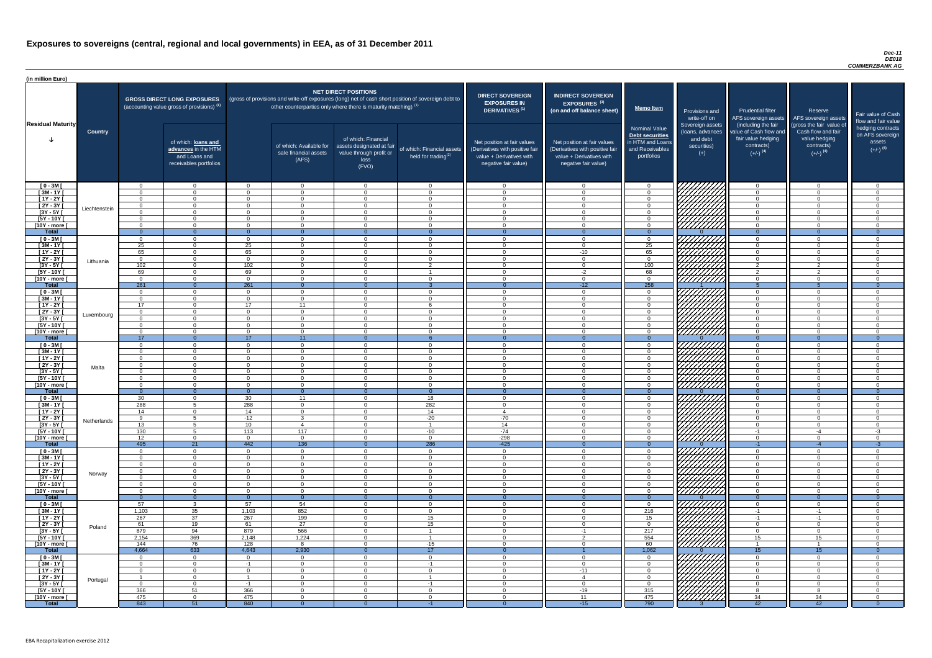#### *Dec-11 DE018 COMMERZBANK AG*

| (in million Euro)             |                |                      |                                                                                             |                             |                                                                            |                                                                                              |                                                                                                     |                                                                                                                    |                                                                                                                    |                                                                                              |                                                                          |                                                                                                             |                                                                                                         |                                                                           |
|-------------------------------|----------------|----------------------|---------------------------------------------------------------------------------------------|-----------------------------|----------------------------------------------------------------------------|----------------------------------------------------------------------------------------------|-----------------------------------------------------------------------------------------------------|--------------------------------------------------------------------------------------------------------------------|--------------------------------------------------------------------------------------------------------------------|----------------------------------------------------------------------------------------------|--------------------------------------------------------------------------|-------------------------------------------------------------------------------------------------------------|---------------------------------------------------------------------------------------------------------|---------------------------------------------------------------------------|
| <b>Residual Maturity</b>      |                |                      | <b>GROSS DIRECT LONG EXPOSURES</b><br>(accounting value gross of provisions) <sup>(1)</sup> |                             | other counterparties only where there is maturity matching) <sup>(1)</sup> | <b>NET DIRECT POSITIONS</b>                                                                  | (gross of provisions and write-off exposures (long) net of cash short position of sovereign debt to | <b>DIRECT SOVEREIGN</b><br><b>EXPOSURES IN</b><br><b>DERIVATIVES (1)</b>                                           | <b>INDIRECT SOVEREIGN</b><br><b>EXPOSURES<sup>(3)</sup></b><br>(on and off balance sheet)                          | Memo Item                                                                                    | <b>Provisions and</b><br>write-off on                                    | <b>Prudential filter</b><br>AFS sovereign assets                                                            | Reserve<br>AFS sovereign assets                                                                         | Fair value of Cash<br>flow and fair value                                 |
|                               | <b>Country</b> |                      | of which: loans and<br>advances in the HTM<br>and Loans and<br>receivables portfolios       |                             | of which: Available for<br>sale financial assets<br>(AFS)                  | of which: Financial<br>assets designated at fair<br>value through profit or<br>loss<br>(FVO) | of which: Financial assets<br>held for trading $(2)$                                                | Net position at fair values<br>(Derivatives with positive fair<br>value + Derivatives with<br>negative fair value) | Net position at fair values<br>(Derivatives with positive fair<br>value + Derivatives with<br>negative fair value) | <b>Nominal Value</b><br>Debt securities<br>in HTM and Loans<br>and Receivables<br>portfolios | Sovereign assets<br>(loans, advances<br>and debt<br>securities)<br>$(+)$ | (including the fair<br>value of Cash flow and<br>fair value hedging<br>contracts)<br>$(+/-)$ <sup>(4)</sup> | (gross the fair value of<br>Cash flow and fair<br>value hedging<br>contracts)<br>$(+/-)$ <sup>(4)</sup> | hedging contracts<br>on AFS sovereign<br>assets<br>$(+/-)$ <sup>(4)</sup> |
| $[0 - 3M]$                    |                | $\Omega$             | $\Omega$                                                                                    | $\Omega$                    | $\Omega$                                                                   | $\Omega$                                                                                     | $\overline{0}$                                                                                      | $\cap$                                                                                                             | $\Omega$                                                                                                           | $\cap$                                                                                       | ШШШ                                                                      | $\cap$                                                                                                      | $\overline{0}$                                                                                          | $\Omega$                                                                  |
| $[3M - 1Y]$<br>$[1Y - 2Y]$    |                | $\Omega$<br>$\Omega$ | $\Omega$<br>$\Omega$                                                                        | $\Omega$<br>$\Omega$        | $\Omega$<br>$\Omega$                                                       | $\cap$<br>$\cap$                                                                             | $\Omega$<br>$\overline{0}$                                                                          | $\Omega$<br>$\cap$                                                                                                 | $\Omega$<br>$\Omega$                                                                                               | $\Omega$                                                                                     |                                                                          | $\cap$<br>$\Omega$                                                                                          | $\Omega$<br>$\Omega$                                                                                    | $\Omega$<br>$\Omega$                                                      |
| $[2Y - 3Y]$                   |                | $\overline{0}$       | $\Omega$                                                                                    | $\Omega$                    | $\Omega$                                                                   | $\cap$                                                                                       | $\overline{0}$                                                                                      | $\Omega$                                                                                                           | $\Omega$                                                                                                           | $\Omega$                                                                                     | 777777777                                                                | $\Omega$                                                                                                    | $\Omega$                                                                                                | $\Omega$                                                                  |
| $[3Y - 5Y]$                   | Liechtenstein  | $\Omega$             | $\Omega$                                                                                    | $\Omega$                    | $\Omega$                                                                   | $\Omega$                                                                                     | $\overline{0}$                                                                                      | $\Omega$                                                                                                           | $\Omega$                                                                                                           | $\cap$                                                                                       |                                                                          | $\Omega$                                                                                                    | $\Omega$                                                                                                | $\Omega$                                                                  |
| $[5Y - 10Y]$                  |                | $\Omega$             | $\Omega$                                                                                    | $\Omega$                    | $\Omega$                                                                   | $\Omega$                                                                                     | $\overline{0}$                                                                                      | $\Omega$                                                                                                           | $\Omega$                                                                                                           | $\cap$                                                                                       |                                                                          | $\Omega$                                                                                                    | $\Omega$                                                                                                | $\Omega$                                                                  |
| [10Y - more [                 |                | $\Omega$             | $\Omega$                                                                                    | $\Omega$                    | $\Omega$                                                                   | $\Omega$                                                                                     | $\overline{0}$                                                                                      | $\Omega$                                                                                                           | $\Omega$                                                                                                           | $\Omega$                                                                                     | 777777777                                                                | $\Omega$                                                                                                    | $\Omega$                                                                                                | $\Omega$                                                                  |
| <b>Total</b><br>$[0 - 3M]$    |                | $\Omega$<br>$\Omega$ | $\overline{0}$<br>$\Omega$                                                                  | $\Omega$<br>$\Omega$        | $\Omega$<br>$\Omega$                                                       | $\Omega$<br>$\Omega$                                                                         | $\Omega$<br>$\overline{0}$                                                                          | $\Omega$<br>$\Omega$                                                                                               | $\Omega$                                                                                                           | $\Omega$<br>$\Omega$                                                                         | 7777777777                                                               | $\Omega$<br>$\cap$                                                                                          | $\Omega$<br>$\overline{0}$                                                                              | $\overline{0}$<br>$\Omega$                                                |
| $[3M - 1Y]$                   |                | 25                   | $\Omega$                                                                                    | 25                          | $\Omega$                                                                   | $\Omega$                                                                                     | $\overline{0}$                                                                                      | $\Omega$                                                                                                           | $\Omega$                                                                                                           | 25                                                                                           | 777777777                                                                | $\Omega$                                                                                                    | $\overline{0}$                                                                                          | $\Omega$                                                                  |
| $[1Y - 2Y]$                   |                | 65                   | $\Omega$                                                                                    | 65                          | $\Omega$                                                                   | $\Omega$                                                                                     | $\overline{0}$                                                                                      | $\Omega$                                                                                                           | $-10$                                                                                                              | 65                                                                                           | 777777777                                                                | $\Omega$                                                                                                    | $\Omega$                                                                                                | $\Omega$                                                                  |
| [2Y - 3Y [                    | Lithuania      | $\overline{0}$       | $\Omega$                                                                                    | $\Omega$                    | $\Omega$                                                                   | $\Omega$                                                                                     | $\Omega$                                                                                            | $\Omega$                                                                                                           | $\Omega$                                                                                                           | $\Omega$                                                                                     | ШШШ                                                                      | $\Omega$                                                                                                    | $\overline{0}$                                                                                          | $\Omega$                                                                  |
| $[3Y - 5Y]$<br>$[5Y - 10Y]$   |                | 102<br>69            | $\Omega$<br>$\Omega$                                                                        | 102<br>69                   | $\Omega$<br>$\Omega$                                                       | $\Omega$<br>. വ                                                                              | $\overline{2}$                                                                                      | - 0<br>$\cap$                                                                                                      | $\Omega$<br>$-2$                                                                                                   | 100<br>68                                                                                    |                                                                          | 2<br>$\mathcal{P}$                                                                                          | $\overline{2}$<br>$\overline{2}$                                                                        | $\Omega$<br>$\cap$                                                        |
| [10Y - more [                 |                | $\Omega$             | $\cap$                                                                                      | $\cap$                      | $\Omega$                                                                   | $\cap$                                                                                       | $\Omega$                                                                                            | $\cap$                                                                                                             | $\Omega$                                                                                                           | $\cap$                                                                                       |                                                                          | $\cap$                                                                                                      | $\Omega$                                                                                                | $\Omega$                                                                  |
| <b>Total</b>                  |                | 261                  | $\overline{0}$                                                                              | 261                         | <u>_ N</u>                                                                 |                                                                                              |                                                                                                     |                                                                                                                    | $-12$                                                                                                              | 258                                                                                          |                                                                          |                                                                                                             |                                                                                                         |                                                                           |
| $[0 - 3M]$                    |                | $\Omega$             | - റ                                                                                         | $\Omega$                    | $\Omega$                                                                   | $\cap$                                                                                       | $\Omega$                                                                                            | $\cap$                                                                                                             | $\Omega$                                                                                                           | . വ                                                                                          |                                                                          | $\cap$                                                                                                      | $\Omega$                                                                                                | $\cap$                                                                    |
| $[3M - 1Y]$                   |                | $\Omega$<br>17       | $\Omega$<br>$\Omega$                                                                        | $\Omega$<br>17 <sup>2</sup> | $\Omega$                                                                   | $\Omega$<br>$\Omega$                                                                         | $\Omega$                                                                                            | $\cap$<br>$\Omega$                                                                                                 | $\cap$<br>$\Omega$                                                                                                 | റ<br>റ                                                                                       |                                                                          | $\cap$<br>$\Omega$                                                                                          | $\Omega$<br>$\Omega$                                                                                    | $\Omega$<br>$\Omega$                                                      |
| $[1Y - 2Y]$<br>$[2Y - 3Y]$    |                | $\Omega$             | $\Omega$                                                                                    | $\Omega$                    | 11<br>$\Omega$                                                             | $\cap$                                                                                       | - 6<br>$\Omega$                                                                                     | $\Omega$                                                                                                           | $\Omega$                                                                                                           | $\Omega$                                                                                     | <i>VIIIII</i> A                                                          | $\cap$                                                                                                      | $\Omega$                                                                                                | $\Omega$                                                                  |
| $[3Y - 5Y]$                   | Luxembourg     |                      |                                                                                             |                             |                                                                            |                                                                                              |                                                                                                     |                                                                                                                    |                                                                                                                    |                                                                                              |                                                                          |                                                                                                             |                                                                                                         |                                                                           |
| $[5Y - 10Y]$                  |                | $\Omega$             | $\Omega$                                                                                    | $\Omega$                    | $\Omega$                                                                   | $\Omega$                                                                                     | $\Omega$                                                                                            | $\Omega$                                                                                                           | $\Omega$                                                                                                           |                                                                                              |                                                                          |                                                                                                             | $\Omega$                                                                                                |                                                                           |
| [10Y - more [                 |                | $\Omega$             | $\cap$                                                                                      | $\Omega$                    | $\Omega$                                                                   | $\cap$                                                                                       | $\Omega$                                                                                            | $\cap$                                                                                                             | $\Omega$                                                                                                           |                                                                                              | 777777777                                                                |                                                                                                             | $\Omega$                                                                                                |                                                                           |
| <b>Total</b><br>$[0 - 3M]$    |                | 17<br>$\Omega$       | $\overline{0}$<br>$\Omega$                                                                  | 17 <sup>2</sup><br>$\Omega$ | 11<br>$\Omega$                                                             | $\Omega$<br>$\Omega$                                                                         | $\Omega$                                                                                            | $\Omega$                                                                                                           | $\Omega$<br>$\Omega$                                                                                               | $\Omega$                                                                                     |                                                                          | $\Omega$<br>$\Omega$                                                                                        | $\Omega$<br>$\Omega$                                                                                    | $\Omega$                                                                  |
| $[3M - 1Y]$                   |                | $\Omega$             | $\Omega$                                                                                    | $\Omega$                    | $\Omega$                                                                   | $\Omega$                                                                                     | $\Omega$                                                                                            | $\Omega$                                                                                                           | $\Omega$                                                                                                           |                                                                                              |                                                                          | $\Omega$                                                                                                    | $\Omega$                                                                                                | $\Omega$                                                                  |
| $[1Y - 2Y]$                   |                | $\Omega$             | $\Omega$                                                                                    | $\Omega$                    | $\Omega$                                                                   | $\Omega$                                                                                     | $\overline{0}$                                                                                      | $\Omega$                                                                                                           | $\Omega$                                                                                                           | $\cap$                                                                                       |                                                                          | $\Omega$                                                                                                    | $\overline{0}$                                                                                          | $\Omega$                                                                  |
| $[2Y - 3Y]$                   | Malta          | $\Omega$             | $\Omega$                                                                                    | $\Omega$                    | $\Omega$                                                                   | $\Omega$                                                                                     | $\Omega$                                                                                            | $\Omega$                                                                                                           | $\Omega$                                                                                                           | $\cap$                                                                                       |                                                                          | $\Omega$                                                                                                    | $\Omega$                                                                                                | $\Omega$                                                                  |
| $[3Y - 5Y]$<br>$[5Y - 10Y]$   |                | $\Omega$<br>$\Omega$ | $\Omega$<br>$\Omega$                                                                        | $\Omega$<br>$\Omega$        | $\Omega$<br>$\Omega$                                                       | $\Omega$<br>$\Omega$                                                                         | $\Omega$<br>$\Omega$                                                                                | $\Omega$<br>$\Omega$                                                                                               | $\Omega$<br>$\Omega$                                                                                               | $\cap$<br>$\Omega$                                                                           |                                                                          | $\Omega$<br>$\Omega$                                                                                        | $\Omega$<br>$\Omega$                                                                                    | $\Omega$<br>$\Omega$                                                      |
| [10Y - more [                 |                | $\Omega$             | $\Omega$                                                                                    | $\Omega$                    | $\Omega$                                                                   | $\Omega$                                                                                     | $\overline{0}$                                                                                      | $\Omega$                                                                                                           | $\Omega$                                                                                                           | $\Omega$                                                                                     | <u> 77777777</u>                                                         | $\Omega$                                                                                                    | $\Omega$                                                                                                | $\Omega$                                                                  |
| <b>Total</b>                  |                | $\Omega$             | $\overline{0}$                                                                              | $\Omega$                    | $\Omega$                                                                   | $\Omega$                                                                                     | $\overline{0}$                                                                                      | $\Omega$                                                                                                           | $\Omega$                                                                                                           | $\Omega$                                                                                     |                                                                          | $\Omega$                                                                                                    | $\Omega$                                                                                                | $\Omega$                                                                  |
| $[0 - 3M]$                    |                | 30                   | $\Omega$                                                                                    | 30                          | 11                                                                         | $\Omega$                                                                                     | 18                                                                                                  | $\Omega$                                                                                                           | $\Omega$                                                                                                           | $\Omega$                                                                                     |                                                                          | $\Omega$                                                                                                    | $\overline{0}$                                                                                          | $\Omega$                                                                  |
| $[3M - 1Y]$<br>$[1Y - 2Y]$    |                | 288<br>14            | $\Omega$                                                                                    | 288<br>14                   | $\Omega$<br>$\Omega$                                                       | $\Omega$<br>$\Omega$                                                                         | 282<br>14                                                                                           | $\Omega$                                                                                                           | $\Omega$<br>$\Omega$                                                                                               | $\cap$<br>$\Omega$                                                                           |                                                                          | $\Omega$<br>$\Omega$                                                                                        | $\Omega$<br>$\Omega$                                                                                    |                                                                           |
| $[2Y - 3Y]$                   |                | -9                   |                                                                                             | $-12$                       | 3                                                                          |                                                                                              | $-20$                                                                                               | $-70$                                                                                                              | 0                                                                                                                  |                                                                                              | n an                                                                     | $\Omega$                                                                                                    | $\overline{0}$                                                                                          |                                                                           |
| $[3Y - 5Y]$                   | Netherlands    | 13                   |                                                                                             | 10 <sup>1</sup>             |                                                                            | $\Omega$                                                                                     |                                                                                                     | 14                                                                                                                 | $\Omega$                                                                                                           |                                                                                              |                                                                          | - 0                                                                                                         | $\Omega$                                                                                                |                                                                           |
| [5Y - 10Y]                    |                | 130                  |                                                                                             | 113                         | 117                                                                        | $\Omega$                                                                                     | $-10$                                                                                               | $-74$                                                                                                              | $\Omega$                                                                                                           |                                                                                              |                                                                          | $-1$                                                                                                        | $-4$                                                                                                    | $-3$                                                                      |
| [10Y - more [<br><b>Total</b> |                | 12<br>495            | $\Omega$<br>21                                                                              | $\Omega$<br>442             | $\Omega$<br>136                                                            | $\Omega$                                                                                     | $\overline{0}$<br>286                                                                               | $-298$<br>$-425$                                                                                                   | $\Omega$                                                                                                           | - 0                                                                                          | //////////                                                               | $\overline{0}$<br>$-1$                                                                                      | $\overline{0}$<br>$-4$                                                                                  | $\Omega$<br>-3                                                            |
| $[0 - 3M]$                    |                | $\Omega$             | $\overline{0}$                                                                              | $\Omega$                    | $\Omega$                                                                   | $\Omega$                                                                                     | $\overline{0}$                                                                                      | $\Omega$                                                                                                           | $\Omega$                                                                                                           | $\cap$                                                                                       |                                                                          | $\Omega$                                                                                                    | $\overline{0}$                                                                                          | $\cap$                                                                    |
| $[3M-1Y]$                     |                | $\Omega$             | $\overline{0}$                                                                              | $\Omega$                    | $\overline{0}$                                                             | $\Omega$                                                                                     | $\overline{0}$                                                                                      | $\Omega$                                                                                                           | $\Omega$                                                                                                           | $\Omega$                                                                                     |                                                                          | $\overline{0}$                                                                                              | $\overline{0}$                                                                                          | $\Omega$                                                                  |
| $[1Y - 2Y]$                   |                | $\Omega$             | $\overline{0}$                                                                              | $\Omega$                    | $\Omega$                                                                   | - റ                                                                                          | $\overline{0}$                                                                                      | $\Omega$                                                                                                           | $\Omega$                                                                                                           | $\cap$                                                                                       |                                                                          | $\overline{0}$                                                                                              | $\overline{0}$                                                                                          | $\Omega$                                                                  |
| [2Y - 3Y [<br>$[3Y - 5Y]$     | Norway         | $\Omega$<br>$\Omega$ | $\overline{0}$<br>$\Omega$                                                                  | $\Omega$<br>$\Omega$        | $\Omega$<br>$\Omega$                                                       | $\Omega$<br>$\Omega$                                                                         | $\Omega$<br>$\overline{0}$                                                                          | $\Omega$<br>$\Omega$                                                                                               | $\Omega$<br>$\Omega$                                                                                               | $\cap$<br>$\Omega$                                                                           |                                                                          | $\Omega$<br>$\Omega$                                                                                        | $\overline{0}$<br>$\overline{0}$                                                                        | $\Omega$<br>$\Omega$                                                      |
| $[5Y - 10Y]$                  |                | $\Omega$             | $\Omega$                                                                                    | $\Omega$                    | $\Omega$                                                                   | $\Omega$                                                                                     | $\Omega$                                                                                            | $\Omega$                                                                                                           | $\Omega$                                                                                                           | $\Omega$                                                                                     |                                                                          | $\Omega$                                                                                                    | $\overline{0}$                                                                                          | $\Omega$                                                                  |
| [10Y - more [                 |                | $\Omega$             | $\Omega$                                                                                    | $\Omega$                    | $\Omega$                                                                   | $\cap$                                                                                       | $\Omega$                                                                                            | $\Omega$                                                                                                           | $\Omega$                                                                                                           | $\Omega$                                                                                     | <u> 77777777</u>                                                         | $\Omega$                                                                                                    | $\Omega$                                                                                                | $\cap$                                                                    |
| <b>Total</b>                  |                | $\Omega$             | $\overline{0}$                                                                              | $\Omega$                    | $\Omega$                                                                   |                                                                                              | $\Omega$                                                                                            |                                                                                                                    |                                                                                                                    |                                                                                              |                                                                          | $\Omega$                                                                                                    | $\overline{0}$                                                                                          |                                                                           |
| $[0 - 3M]$<br>$[3M - 1Y]$     |                | 57<br>1,103          | $\mathcal{R}$<br>35                                                                         | 57<br>1,103                 | 54<br>852                                                                  | $\Omega$<br>$\Omega$                                                                         | $\Omega$<br>$\Omega$                                                                                | $\Omega$<br>$\Omega$                                                                                               | $\Omega$<br>$\Omega$                                                                                               | $\cap$<br>216                                                                                | KAANAN K                                                                 | $\Omega$<br>$-1$                                                                                            | $\overline{0}$<br>$-1$                                                                                  | $\Omega$                                                                  |
| $[1Y - 2Y]$                   |                | 267                  | 37                                                                                          | 267                         | 199                                                                        | $\Omega$                                                                                     | 15                                                                                                  | $\Omega$                                                                                                           | $\Omega$                                                                                                           | 15                                                                                           |                                                                          | $-1$                                                                                                        | $-1$                                                                                                    | $\Omega$                                                                  |
| $[2Y - 3Y]$                   | Poland         | 61                   | 19                                                                                          | 61                          | 27                                                                         | $\Omega$                                                                                     | 15                                                                                                  | $\Omega$                                                                                                           | $\Omega$                                                                                                           | റ                                                                                            |                                                                          | $\Omega$                                                                                                    | $\overline{0}$                                                                                          | $\Omega$                                                                  |
| $[3Y - 5Y]$                   |                | 879                  | 94                                                                                          | 879                         | 566                                                                        | $\Omega$                                                                                     |                                                                                                     | $\Omega$                                                                                                           | $-1$                                                                                                               | 217                                                                                          |                                                                          | $\Omega$                                                                                                    | $\Omega$                                                                                                | $\Omega$                                                                  |
| $[5Y - 10Y]$                  |                | 2,154<br>144         | 369<br>76                                                                                   | 2,148                       | 1,224<br>8                                                                 | $\Omega$<br>$\Omega$                                                                         | $-15$                                                                                               | $\Omega$<br>$\Omega$                                                                                               | $\Omega$<br>$\Omega$                                                                                               | 554<br>60                                                                                    | ///////////                                                              | 15                                                                                                          | 15                                                                                                      | $\Omega$<br>$\Omega$                                                      |
| [10Y - more [<br><b>Total</b> |                | 4,664                | 633                                                                                         | 128<br>4,643                | 2,930                                                                      | $\Omega$                                                                                     | 17                                                                                                  | $\Omega$                                                                                                           |                                                                                                                    | 1,062                                                                                        |                                                                          | 15                                                                                                          | 15                                                                                                      | $\overline{0}$                                                            |
| $[0 - 3M]$                    |                | $\Omega$             | $\Omega$                                                                                    | $\Omega$                    | $\Omega$                                                                   | $\Omega$                                                                                     | $\overline{0}$                                                                                      | $\Omega$                                                                                                           | $\Omega$                                                                                                           | $\Omega$                                                                                     | <i>VIIIIIIII</i>                                                         | $\Omega$                                                                                                    | $\Omega$                                                                                                |                                                                           |
| $[3M - 1Y]$                   |                | $\Omega$             | - റ                                                                                         | -1                          | $\Omega$                                                                   | $\Omega$                                                                                     | -1                                                                                                  | $\Omega$                                                                                                           | $\overline{0}$                                                                                                     |                                                                                              |                                                                          | $\cap$                                                                                                      | $\overline{0}$                                                                                          |                                                                           |
| $[1Y - 2Y]$                   |                | $\overline{0}$       | $\Omega$                                                                                    | $\Omega$                    | $\Omega$                                                                   | $\Omega$                                                                                     | $\Omega$                                                                                            | $\Omega$                                                                                                           | $-11$                                                                                                              | $\Omega$                                                                                     |                                                                          | $\Omega$                                                                                                    | $\overline{0}$                                                                                          | $\Omega$                                                                  |
| [2Y - 3Y [<br>$[3Y - 5Y]$     | Portugal       | - 0                  | $\overline{0}$<br>$\Omega$                                                                  | -1                          | $\Omega$<br>- 0                                                            | $\Omega$<br>$\Omega$                                                                         | -1                                                                                                  | $\mathbf{0}$<br>- 0                                                                                                | $\overline{0}$                                                                                                     | $\Omega$                                                                                     |                                                                          | $\overline{0}$<br>- 0                                                                                       | $\overline{0}$<br>$\overline{0}$                                                                        | $\Omega$<br>$\Omega$                                                      |
| $[5Y - 10Y]$                  |                | 366                  | 51                                                                                          | 366                         | - 0                                                                        | $\Omega$                                                                                     | $\overline{0}$                                                                                      | $\Omega$                                                                                                           | $-19$                                                                                                              | 315                                                                                          | UMAN<br>UMAN                                                             | -8                                                                                                          | -8                                                                                                      | $\Omega$                                                                  |
| [10Y - more [                 |                | 475                  | $\overline{0}$                                                                              | 475                         | $\Omega$                                                                   | $\Omega$                                                                                     | $\overline{0}$                                                                                      | $\Omega$                                                                                                           | 11                                                                                                                 | 475                                                                                          |                                                                          | 34                                                                                                          | 34                                                                                                      | $\mathbf{0}$                                                              |
| <b>Total</b>                  |                | 843                  | 51                                                                                          | 840                         | -0                                                                         |                                                                                              | $-1$                                                                                                |                                                                                                                    | $-15$                                                                                                              | 790                                                                                          |                                                                          | 42                                                                                                          | 42                                                                                                      | $\Omega$                                                                  |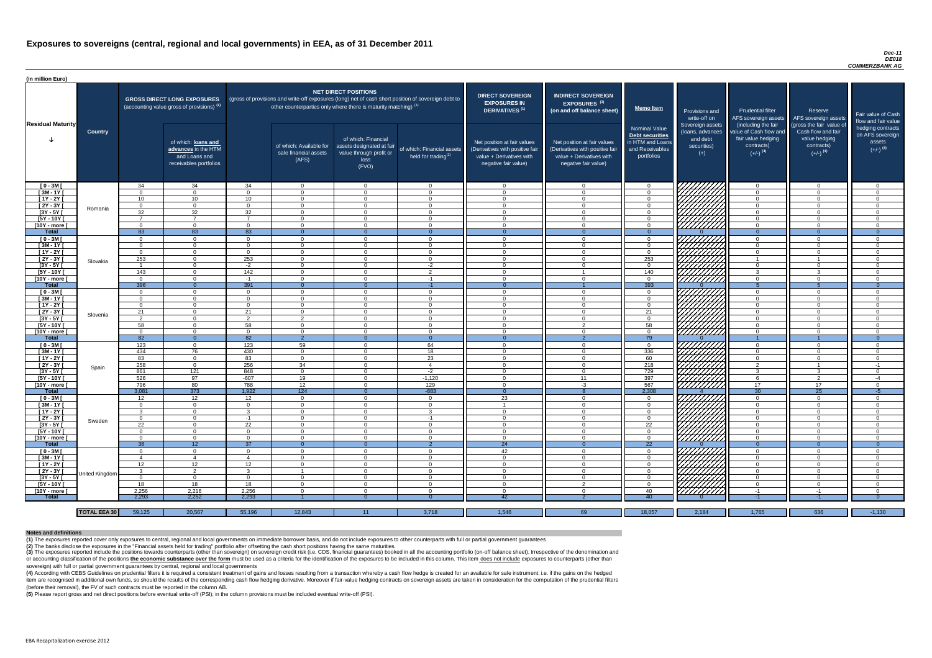#### *Dec-11 DE018 COMMERZBANK AG*

(4) According with CEBS Guidelines on prudential filters it is required a consistent treatment of gains and losses resulting from a transaction whereby a cash flow hedge is created for an available for sale instrument: i.e item are recognised in additional own funds, so should the results of the corresponding cash flow hedging derivative. Moreover if fair-value hedging contracts on sovereign assets are taken in consideration for the computat (before their removal), the FV of such contracts must be reported in the column AB.

| (in million Euro)           |                     |                      |                                                                                             |                             |                                                                            |                                                                                              |                                                                                                     |                                                                                                                    |                                                                                                                    |                                                                                              |                                                                                                                                                                                                                                 |                                                                                                             |                                                                                                         |                                                                           |
|-----------------------------|---------------------|----------------------|---------------------------------------------------------------------------------------------|-----------------------------|----------------------------------------------------------------------------|----------------------------------------------------------------------------------------------|-----------------------------------------------------------------------------------------------------|--------------------------------------------------------------------------------------------------------------------|--------------------------------------------------------------------------------------------------------------------|----------------------------------------------------------------------------------------------|---------------------------------------------------------------------------------------------------------------------------------------------------------------------------------------------------------------------------------|-------------------------------------------------------------------------------------------------------------|---------------------------------------------------------------------------------------------------------|---------------------------------------------------------------------------|
| <b>Residual Maturity</b>    |                     |                      | <b>GROSS DIRECT LONG EXPOSURES</b><br>(accounting value gross of provisions) <sup>(1)</sup> |                             | other counterparties only where there is maturity matching) <sup>(1)</sup> | NET DIRECT POSITIONS                                                                         | (gross of provisions and write-off exposures (long) net of cash short position of sovereign debt to | <b>DIRECT SOVEREIGN</b><br><b>EXPOSURES IN</b><br>DERIVATIVES <sup>(1)</sup>                                       | <b>INDIRECT SOVEREIGN</b><br><b>EXPOSURES<sup>(3)</sup></b><br>(on and off balance sheet)                          | <b>Memo Item</b>                                                                             | Provisions and<br>write-off on                                                                                                                                                                                                  | Prudential filter<br>AFS sovereign assets                                                                   | Reserve<br>AFS sovereign assets                                                                         | Fair value of Cash<br>flow and fair value                                 |
|                             | <b>Country</b>      |                      | of which: loans and<br>advances in the HTM<br>and Loans and<br>receivables portfolios       |                             | of which: Available for<br>sale financial assets<br>(AFS)                  | of which: Financial<br>assets designated at fair<br>value through profit or<br>loss<br>(FVO) | of which: Financial assets<br>held for trading $^{(2)}$                                             | Net position at fair values<br>(Derivatives with positive fair<br>value + Derivatives with<br>negative fair value) | Net position at fair values<br>(Derivatives with positive fair<br>value + Derivatives with<br>negative fair value) | <b>Nominal Value</b><br>Debt securities<br>in HTM and Loans<br>and Receivables<br>portfolios | Sovereign assets<br>(loans, advances<br>and debt<br>securities)<br>$(+)$                                                                                                                                                        | (including the fair<br>value of Cash flow and<br>fair value hedging<br>contracts)<br>$(+/-)$ <sup>(4)</sup> | (gross the fair value of<br>Cash flow and fair<br>value hedging<br>contracts)<br>$(+/-)$ <sup>(4)</sup> | hedging contracts<br>on AFS sovereign<br>assets<br>$(+/-)$ <sup>(4)</sup> |
| $[0 - 3M]$                  |                     | 34                   | 34                                                                                          | 34                          | $\Omega$                                                                   | $\Omega$                                                                                     | $\overline{0}$                                                                                      | $\Omega$                                                                                                           | $\Omega$                                                                                                           | - റ                                                                                          | 0777777777                                                                                                                                                                                                                      | $\overline{0}$                                                                                              | $\overline{0}$                                                                                          | - 0                                                                       |
| $[3M-1Y]$                   |                     | $\Omega$             | $\Omega$                                                                                    | $\Omega$                    | $\Omega$                                                                   | $\Omega$                                                                                     | $\Omega$                                                                                            | $\Omega$                                                                                                           | $\Omega$                                                                                                           | $\cap$                                                                                       |                                                                                                                                                                                                                                 | $\Omega$                                                                                                    | $\overline{0}$                                                                                          | $\cap$                                                                    |
| $[1Y - 2Y]$                 |                     | $10^{-7}$            | 10 <sup>°</sup><br>$\Omega$                                                                 | 10 <sup>1</sup><br>$\Omega$ | $\Omega$<br>$\Omega$                                                       | $\cap$<br>$\Omega$                                                                           | $\Omega$<br>$\Omega$                                                                                | $\Omega$<br>$\Omega$                                                                                               | $\Omega$<br>$\Omega$                                                                                               | $\cap$<br>$\cap$                                                                             |                                                                                                                                                                                                                                 | $\Omega$<br>$\Omega$                                                                                        | $\overline{0}$<br>$\Omega$                                                                              | $\sqrt{ }$<br>$\sqrt{ }$                                                  |
| [2Y - 3Y [<br>[3Y - 5Y [    | Romania             | $\Omega$<br>32       | $\overline{32}$                                                                             | 32                          | $\Omega$                                                                   | $\Omega$                                                                                     | $\Omega$                                                                                            | $\Omega$                                                                                                           | $\Omega$                                                                                                           |                                                                                              | HHHH                                                                                                                                                                                                                            | $\Omega$                                                                                                    | $\Omega$                                                                                                |                                                                           |
| [5Y - 10Y [                 |                     | -                    |                                                                                             |                             | $\Omega$                                                                   | $\cap$                                                                                       | $\Omega$                                                                                            | $\Omega$                                                                                                           | $\Omega$                                                                                                           |                                                                                              |                                                                                                                                                                                                                                 | $\cap$                                                                                                      | $\Omega$                                                                                                |                                                                           |
| [10Y - more [               |                     | $\Omega$             | $\cap$                                                                                      | $\cap$                      | $\Omega$                                                                   | $\cap$                                                                                       | $\Omega$                                                                                            | $\cap$                                                                                                             | $\Omega$                                                                                                           |                                                                                              |                                                                                                                                                                                                                                 | $\Omega$                                                                                                    | $\Omega$                                                                                                |                                                                           |
| <b>Total</b>                |                     | 83                   | 83                                                                                          | 83                          | $\Omega$                                                                   |                                                                                              | $\Omega$                                                                                            | $\Omega$                                                                                                           | $\Omega$                                                                                                           | $\Omega$                                                                                     |                                                                                                                                                                                                                                 | $\Omega$                                                                                                    | $\Omega$                                                                                                | $\Omega$                                                                  |
| $[0 - 3M]$                  |                     | $\Omega$             | $\Omega$                                                                                    | $\cap$                      | $\Omega$                                                                   | $\Omega$                                                                                     | $\Omega$                                                                                            | $\cap$                                                                                                             | $\Omega$                                                                                                           | $\Omega$                                                                                     |                                                                                                                                                                                                                                 | $\cap$                                                                                                      | $\Omega$                                                                                                |                                                                           |
| $[3M-1Y]$<br>$[1Y - 2Y]$    |                     | $\Omega$<br>$\Omega$ | $\Omega$<br>$\Omega$                                                                        | $\cap$<br>$\Omega$          | $\Omega$<br>$\Omega$                                                       | $\Omega$<br>$\Omega$                                                                         | $\overline{0}$<br>$\overline{0}$                                                                    | $\Omega$<br>$\cap$                                                                                                 | $\Omega$<br>$\Omega$                                                                                               | $\Omega$<br>$\cap$                                                                           | FATA HA                                                                                                                                                                                                                         | $\Omega$<br>$\cap$                                                                                          | $\Omega$<br>$\Omega$                                                                                    | $\cap$<br>$\Omega$                                                        |
| $[2Y - 3Y]$                 |                     | 253                  | $\Omega$                                                                                    | 253                         | $\Omega$                                                                   | $\Omega$                                                                                     | $\overline{0}$                                                                                      | $\Omega$                                                                                                           | $\Omega$                                                                                                           | 253                                                                                          |                                                                                                                                                                                                                                 |                                                                                                             |                                                                                                         | $\cap$                                                                    |
| $[3Y - 5Y]$                 | Slovakia            |                      | $\cap$                                                                                      | $-2$                        | $\Omega$                                                                   | $\Omega$                                                                                     | $-2$                                                                                                | $\Omega$                                                                                                           | $\Omega$                                                                                                           | $\Omega$                                                                                     |                                                                                                                                                                                                                                 | $\Omega$                                                                                                    | $\Omega$                                                                                                | $\Omega$                                                                  |
| [5Y - 10Y [                 |                     | 143                  | $\Omega$                                                                                    | 142                         | $\Omega$                                                                   | $\Omega$                                                                                     | $\overline{2}$                                                                                      | $\Omega$                                                                                                           |                                                                                                                    | 140                                                                                          |                                                                                                                                                                                                                                 | $\mathbf{R}$                                                                                                | ູ                                                                                                       | $\cap$                                                                    |
| [10Y - more [               |                     | $\Omega$             | $\Omega$                                                                                    | $-1$                        | $\Omega$                                                                   | $\Omega$                                                                                     | $-1$                                                                                                | $\Omega$                                                                                                           | $\Omega$                                                                                                           | $\overline{0}$                                                                               | <u>Hittittik</u>                                                                                                                                                                                                                | $\Omega$                                                                                                    | $\Omega$                                                                                                | $\Omega$                                                                  |
| <b>Total</b>                |                     | 396                  | $\Omega$                                                                                    | 391                         | $\Omega$                                                                   | $\Omega$                                                                                     | $-1$                                                                                                | $\Omega$                                                                                                           |                                                                                                                    | 393                                                                                          |                                                                                                                                                                                                                                 |                                                                                                             |                                                                                                         | $\Omega$                                                                  |
| $[0 - 3M]$                  |                     | $\Omega$             | $\Omega$                                                                                    | $\cap$                      | $\Omega$                                                                   | $\Omega$                                                                                     | $\overline{0}$                                                                                      | $\Omega$                                                                                                           | $\Omega$                                                                                                           | $\cap$                                                                                       | 7777777777                                                                                                                                                                                                                      | $\Omega$                                                                                                    | $\Omega$                                                                                                | $\Omega$                                                                  |
| $[3M - 1Y]$                 |                     | $\Omega$             | $\Omega$                                                                                    | $\cap$                      | $\Omega$                                                                   | $\Omega$<br>∩                                                                                | $\overline{0}$                                                                                      | $\Omega$                                                                                                           | $\Omega$                                                                                                           | $\Omega$<br>$\Omega$                                                                         | <u>UMMA</u>                                                                                                                                                                                                                     | $\Omega$                                                                                                    | $\Omega$                                                                                                | $\Omega$                                                                  |
| $[1Y - 2Y]$<br>$[2Y - 3Y]$  |                     | - 0<br>21            |                                                                                             | 21                          | $\Omega$<br>$\Omega$                                                       | $\Omega$                                                                                     | $\Omega$<br>$\Omega$                                                                                | $\Omega$<br>$\Omega$                                                                                               | $\Omega$<br>$\Omega$                                                                                               | 21                                                                                           |                                                                                                                                                                                                                                 | $\Omega$<br>$\cap$                                                                                          | $\Omega$<br>$\Omega$                                                                                    |                                                                           |
| [3Y - 5Y [                  | Slovenia            |                      |                                                                                             |                             |                                                                            | $\mathbf{U}$                                                                                 | 0                                                                                                   | - 0                                                                                                                | 0                                                                                                                  |                                                                                              | WITTI S                                                                                                                                                                                                                         | -0                                                                                                          | 0                                                                                                       |                                                                           |
| $[5Y - 10Y]$                |                     | 58                   | $\Omega$                                                                                    | 58                          | $\Omega$                                                                   | $\Omega$                                                                                     | $\overline{0}$                                                                                      | - 0                                                                                                                | $\mathcal{P}$                                                                                                      | 58                                                                                           |                                                                                                                                                                                                                                 | $\overline{0}$                                                                                              | $\overline{0}$                                                                                          | - 0                                                                       |
| [10Y - more [               |                     | $\Omega$             | - റ                                                                                         | - റ                         | $\Omega$                                                                   | $\Omega$                                                                                     | $\overline{0}$                                                                                      | - 0                                                                                                                | $\Omega$                                                                                                           | _റ                                                                                           | ///////////                                                                                                                                                                                                                     | $\Omega$                                                                                                    | $\Omega$                                                                                                | $\cap$                                                                    |
| <b>Total</b>                |                     | 82                   | $\Omega$                                                                                    | 82                          | $\overline{2}$                                                             |                                                                                              | $\overline{0}$                                                                                      | - 0                                                                                                                |                                                                                                                    | 79                                                                                           |                                                                                                                                                                                                                                 |                                                                                                             |                                                                                                         |                                                                           |
| $[0 - 3M]$                  |                     | 123                  | $\Omega$                                                                                    | 123                         | 59                                                                         | $\Omega$                                                                                     | 64                                                                                                  | $\Omega$                                                                                                           | $\Omega$                                                                                                           | $\Omega$                                                                                     | ШШ                                                                                                                                                                                                                              | $\Omega$                                                                                                    | $\overline{0}$                                                                                          | $\Omega$                                                                  |
| $[3M - 1Y]$                 |                     | 434                  | 76                                                                                          | 430                         | $\overline{0}$                                                             | $\Omega$                                                                                     | 18                                                                                                  | $\overline{0}$                                                                                                     | $\Omega$                                                                                                           | 336                                                                                          |                                                                                                                                                                                                                                 | $\overline{0}$                                                                                              | $\overline{0}$                                                                                          | $\Omega$                                                                  |
| $[1Y - 2Y]$                 |                     | 83                   | $\overline{0}$                                                                              | 83                          | $\overline{0}$                                                             | $\Omega$                                                                                     | 23                                                                                                  | $\overline{0}$                                                                                                     | $\Omega$                                                                                                           | 60                                                                                           |                                                                                                                                                                                                                                 | $\overline{0}$                                                                                              | $\overline{0}$                                                                                          | $\overline{0}$                                                            |
| $[2Y - 3Y]$<br>$[3Y - 5Y]$  | Spain               | 258<br>861           | $\Omega$<br>121                                                                             | 256<br>848                  | 34<br>$\Omega$                                                             | $\Omega$<br>$\Omega$                                                                         | $\overline{4}$<br>$-2$                                                                              | $\Omega$<br>$\Omega$                                                                                               | $\Omega$<br>$\Omega$                                                                                               | 218<br>729                                                                                   |                                                                                                                                                                                                                                 | $\overline{2}$<br>$\mathbf{B}$                                                                              | $\mathbf{3}$                                                                                            | $-1$<br>$\Omega$                                                          |
| [5Y - 10Y [                 |                     | 526                  | 97                                                                                          | $-607$                      | 19                                                                         | $\Omega$                                                                                     | $-1,120$                                                                                            | $\Omega$                                                                                                           | 11                                                                                                                 | 397                                                                                          |                                                                                                                                                                                                                                 | -6                                                                                                          | $\overline{2}$                                                                                          | -4                                                                        |
| [10Y - more ]               |                     | 796                  | 80                                                                                          | 788                         | 12                                                                         | $\Omega$                                                                                     | 129                                                                                                 | $\Omega$                                                                                                           | $-3$                                                                                                               | 567                                                                                          | HIIII)<br>HIIIII)                                                                                                                                                                                                               | 17                                                                                                          | 17                                                                                                      | $\Omega$                                                                  |
| <b>Total</b>                |                     | 3,081                | 373                                                                                         | 1,922                       | 124                                                                        | $\Omega$                                                                                     | $-883$                                                                                              | - 0                                                                                                                |                                                                                                                    | 2,308                                                                                        |                                                                                                                                                                                                                                 | 30                                                                                                          | 25                                                                                                      | $-5$                                                                      |
| $[0 - 3M]$                  |                     | 12 <sup>1</sup>      | 12                                                                                          | 12                          | $\Omega$                                                                   | $\Omega$                                                                                     | $\overline{0}$                                                                                      | 23                                                                                                                 | $\Omega$                                                                                                           | $\Omega$                                                                                     | UNING<br>UNING                                                                                                                                                                                                                  | $\Omega$                                                                                                    | $\Omega$                                                                                                | $\Omega$                                                                  |
| $[3M - 1Y]$                 |                     | $\Omega$             | $\Omega$                                                                                    | $\Omega$                    | $\Omega$                                                                   | $\Omega$                                                                                     | $\overline{0}$                                                                                      |                                                                                                                    | $\Omega$                                                                                                           | $\Omega$                                                                                     |                                                                                                                                                                                                                                 | $\Omega$                                                                                                    | $\overline{0}$                                                                                          | $\Omega$                                                                  |
| [1Y - 2Y [                  |                     | $\mathcal{B}$        | $\Omega$                                                                                    | $\mathcal{R}$               | $\Omega$                                                                   | $\Omega$                                                                                     | $\mathbf{3}$                                                                                        | $\Omega$                                                                                                           | $\Omega$                                                                                                           | $\cap$                                                                                       |                                                                                                                                                                                                                                 | $\Omega$                                                                                                    | $\Omega$                                                                                                | $\Omega$                                                                  |
| [2Y - 3Y [<br>$[3Y - 5Y]$   | Sweden              | $\Omega$<br>22       | $\Omega$<br>$\Omega$                                                                        | -1<br>22                    | $\Omega$<br>$\Omega$                                                       | $\Omega$<br>$\Omega$                                                                         | $-1$<br>$\overline{0}$                                                                              | $\Omega$<br>$\Omega$                                                                                               | $\Omega$<br>$\Omega$                                                                                               | $\cap$<br>22                                                                                 |                                                                                                                                                                                                                                 | $\Omega$<br>$\Omega$                                                                                        | $\Omega$<br>$\Omega$                                                                                    | $\Omega$<br>$\Omega$                                                      |
| [5Y - 10Y [                 |                     | $\Omega$             | $\Omega$                                                                                    | $\Omega$                    | $\Omega$                                                                   | $\Omega$                                                                                     | $\overline{0}$                                                                                      | $\Omega$                                                                                                           | $\Omega$                                                                                                           | $\Omega$                                                                                     | ГАДАД<br>ПАДАДАР                                                                                                                                                                                                                | $\Omega$                                                                                                    | $\Omega$                                                                                                | $\Omega$                                                                  |
| [10Y - more ]               |                     | $\overline{0}$       | $\Omega$                                                                                    | $\Omega$                    | $\overline{0}$                                                             | $\Omega$                                                                                     | $\overline{0}$                                                                                      | $\overline{0}$                                                                                                     | $\Omega$                                                                                                           | $\Omega$                                                                                     | 777777777                                                                                                                                                                                                                       | $\Omega$                                                                                                    | $\Omega$                                                                                                | $\Omega$                                                                  |
| <b>Total</b>                |                     | 38                   | 12                                                                                          | 37                          | $\Omega$                                                                   | $\Omega$                                                                                     | $\overline{2}$                                                                                      | $\overline{24}$                                                                                                    | $\Omega$                                                                                                           | $\overline{22}$                                                                              |                                                                                                                                                                                                                                 | $\Omega$                                                                                                    | $\Omega$                                                                                                | $\overline{0}$                                                            |
| $[0 - 3M]$                  |                     | $\Omega$             | $\Omega$                                                                                    | $\Omega$                    | $\Omega$                                                                   | $\Omega$                                                                                     | $\overline{0}$                                                                                      | 42                                                                                                                 | $\Omega$                                                                                                           | $\Omega$                                                                                     |                                                                                                                                                                                                                                 | $\Omega$                                                                                                    | $\Omega$                                                                                                | $\Omega$                                                                  |
| $[3M - 1Y]$                 |                     | $\overline{4}$       |                                                                                             |                             | $\Omega$                                                                   | $\Omega$                                                                                     | $\overline{0}$                                                                                      | $\Omega$                                                                                                           | $\overline{0}$                                                                                                     | $\Omega$                                                                                     |                                                                                                                                                                                                                                 | $\overline{0}$                                                                                              | $\overline{0}$                                                                                          | $\Omega$                                                                  |
| $[1Y - 2Y]$                 |                     | 12                   | 12                                                                                          | 12 <sup>7</sup>             | $\Omega$                                                                   | $\Omega$                                                                                     | $\Omega$                                                                                            | $\Omega$                                                                                                           | $\Omega$                                                                                                           | $\cap$                                                                                       | an dheer is ah dheer is ah dheer is aan dheer is aan dheer is aan dheer is aan dheer is aan dheer is aan dheer<br>Marko dheer is aan dheer is aan dheer is aan dheer is aan dheer is aan dheer is aan dheer is aan dheer is aan | $\Omega$                                                                                                    | $\Omega$                                                                                                |                                                                           |
| [2Y - 3Y]                   | United Kingdom      | -3                   | ົາ                                                                                          | $\mathcal{R}$               |                                                                            | $\Omega$                                                                                     | $\Omega$                                                                                            | $\Omega$                                                                                                           | $\Omega$                                                                                                           |                                                                                              |                                                                                                                                                                                                                                 | $\Omega$                                                                                                    | $\Omega$                                                                                                |                                                                           |
| $[3Y - 5Y]$<br>$[5Y - 10Y]$ |                     | - 0<br>18            | $\Omega$<br>18                                                                              | $\Omega$<br>18              | $\Omega$<br>$\Omega$                                                       | $\Omega$<br>$\Omega$                                                                         | $\Omega$<br>$\Omega$                                                                                | $\Omega$<br>$\Omega$                                                                                               | $\Omega$<br>ົ                                                                                                      | $\cap$                                                                                       | 7777777777                                                                                                                                                                                                                      | $\Omega$<br>- 0                                                                                             | $\Omega$<br>$\Omega$                                                                                    | $\cap$                                                                    |
| [10Y - more [               |                     | 2,256                | 2,216                                                                                       | 2,256                       | $\cap$                                                                     | $\Omega$                                                                                     | $\Omega$                                                                                            | $\Omega$                                                                                                           | $\Omega$                                                                                                           | 40                                                                                           | 777777777                                                                                                                                                                                                                       | $-1$                                                                                                        | -1                                                                                                      | $\Omega$                                                                  |
| <b>Total</b>                |                     | 2,293                | 2,252                                                                                       | 2,293                       |                                                                            |                                                                                              |                                                                                                     | 42                                                                                                                 |                                                                                                                    | 40 <sup>°</sup>                                                                              |                                                                                                                                                                                                                                 | -1                                                                                                          | $-1$                                                                                                    |                                                                           |
|                             |                     |                      |                                                                                             |                             |                                                                            |                                                                                              |                                                                                                     |                                                                                                                    |                                                                                                                    |                                                                                              |                                                                                                                                                                                                                                 |                                                                                                             |                                                                                                         |                                                                           |
|                             | <b>TOTAL EEA 30</b> | 59,125               | 20,567                                                                                      | 55,196                      | 12,843                                                                     | 11 <sub>1</sub>                                                                              | 3,718                                                                                               | 1,546                                                                                                              | 69                                                                                                                 | 18,057                                                                                       | 2,184                                                                                                                                                                                                                           | 1,765                                                                                                       | 636                                                                                                     | $-1,130$                                                                  |

(3) The exposures reported include the positions towards counterparts (other than sovereign) on sovereign credit risk (i.e. CDS, financial guarantees) booked in all the accounting portfolio (on-off balance sheet). Irrespec or accounting classification of the positions the economic substance over the form must be used as a criteria for the identification of the exposures to be included in this column. This item does not include exposures to c sovereign) with full or partial government guarantees by central, regional and local governments

**(5)** Please report gross and net direct positions before eventual write-off (PSI); in the column provisions must be included eventual write-off (PSI).

#### **Notes and definitions**

**(1)** The exposures reported cover only exposures to central, regional and local governments on immediate borrower basis, and do not include exposures to other counterparts with full or partial government guarantees **(2)** The banks disclose the exposures in the "Financial assets held for trading" portfolio after offsetting the cash short positions having the same maturities.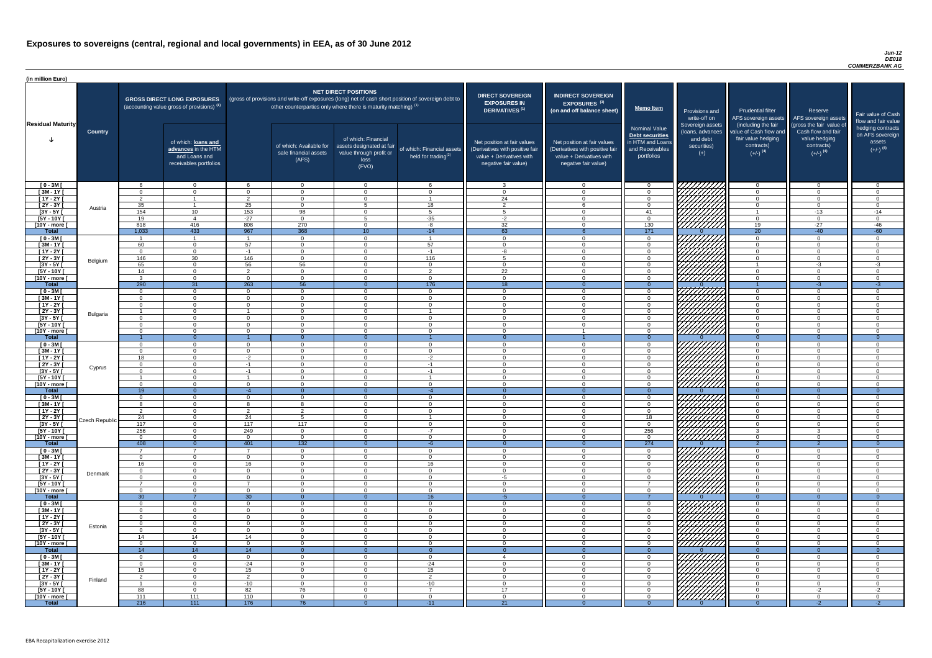#### *Jun-12 DE018 COMMERZBANK AG*

| (in million Euro)             |                 |                    |                                                                                             |                      |                                                                                                                                                                                   |                                                                                              |                                                      |                                                                                                                    |                                                                                                                    |                                                                                              |                                                                          |                                                                                                             |                                                                                                         |                                                                           |
|-------------------------------|-----------------|--------------------|---------------------------------------------------------------------------------------------|----------------------|-----------------------------------------------------------------------------------------------------------------------------------------------------------------------------------|----------------------------------------------------------------------------------------------|------------------------------------------------------|--------------------------------------------------------------------------------------------------------------------|--------------------------------------------------------------------------------------------------------------------|----------------------------------------------------------------------------------------------|--------------------------------------------------------------------------|-------------------------------------------------------------------------------------------------------------|---------------------------------------------------------------------------------------------------------|---------------------------------------------------------------------------|
| <b>Residual Maturity</b>      |                 |                    | <b>GROSS DIRECT LONG EXPOSURES</b><br>(accounting value gross of provisions) <sup>(1)</sup> |                      | (gross of provisions and write-off exposures (long) net of cash short position of sovereign debt to<br>other counterparties only where there is maturity matching) <sup>(1)</sup> | NET DIRECT POSITIONS                                                                         |                                                      | <b>DIRECT SOVEREIGN</b><br><b>EXPOSURES IN</b><br>DERIVATIVES <sup>(1)</sup>                                       | <b>INDIRECT SOVEREIGN</b><br><b>EXPOSURES<sup>(3)</sup></b><br>(on and off balance sheet)                          | Memo Item                                                                                    | Provisions and<br>write-off on                                           | <b>Prudential filter</b>                                                                                    | Reserve<br>AFS sovereign assets AFS sovereign assets                                                    | Fair value of Cash<br>flow and fair value                                 |
|                               | <b>Country</b>  |                    | of which: loans and<br>advances in the HTM<br>and Loans and<br>receivables portfolios       |                      | of which: Available for<br>sale financial assets<br>(AFS)                                                                                                                         | of which: Financial<br>assets designated at fair<br>value through profit or<br>loss<br>(FVO) | of which: Financial assets<br>held for trading $(2)$ | Net position at fair values<br>(Derivatives with positive fair<br>value + Derivatives with<br>negative fair value) | Net position at fair values<br>(Derivatives with positive fair<br>value + Derivatives with<br>negative fair value) | <b>Nominal Value</b><br>Debt securities<br>in HTM and Loans<br>and Receivables<br>portfolios | Sovereign assets<br>(loans, advances<br>and debt<br>securities)<br>$(+)$ | (including the fair<br>value of Cash flow and<br>fair value hedging<br>contracts)<br>$(+/-)$ <sup>(4)</sup> | (gross the fair value of<br>Cash flow and fair<br>value hedging<br>contracts)<br>$(+/-)$ <sup>(4)</sup> | hedging contracts<br>on AFS sovereign<br>assets<br>$(+/-)$ <sup>(4)</sup> |
| $[0 - 3M]$                    |                 |                    | $\overline{0}$                                                                              |                      | $\Omega$                                                                                                                                                                          | $\Omega$                                                                                     | - 6                                                  | $\mathcal{R}$                                                                                                      | $\Omega$<br>$\Omega$                                                                                               | $\Omega$                                                                                     |                                                                          | $\overline{0}$                                                                                              | - റ                                                                                                     | ∩ ∩                                                                       |
| $[3M - 1Y]$<br>$[1Y - 2Y]$    |                 | $\cap$<br>ົາ       | $\Omega$<br>$\overline{1}$                                                                  | $\Omega$<br>$\Omega$ | $\Omega$<br>$\Omega$                                                                                                                                                              | $\Omega$<br>$\Omega$                                                                         | $\overline{0}$                                       | $\cap$<br>24                                                                                                       | $\Omega$                                                                                                           | $\Omega$<br>$\Omega$                                                                         |                                                                          | $\Omega$<br>$\overline{0}$                                                                                  | $\Omega$<br>$\Omega$                                                                                    | . വ<br>$\cap$                                                             |
| $[2Y - 3Y]$                   |                 | 35                 |                                                                                             | 25                   | $\Omega$                                                                                                                                                                          | Б.                                                                                           | 18                                                   | $\overline{2}$                                                                                                     |                                                                                                                    | $\Omega$                                                                                     |                                                                          | $\Omega$                                                                                                    | $\Omega$                                                                                                | $\cap$                                                                    |
| $[3Y - 5Y]$                   | Austria         | 154                | 10 <sup>°</sup>                                                                             | 153                  | 98                                                                                                                                                                                | $\Omega$                                                                                     | 5                                                    | -5                                                                                                                 |                                                                                                                    | 41                                                                                           | HHHA                                                                     |                                                                                                             | $-13$                                                                                                   | $-14$                                                                     |
| $[5Y - 10Y]$                  |                 | 19                 | $\overline{4}$                                                                              | $-27$                | $\Omega$                                                                                                                                                                          | г.                                                                                           | $-35$                                                | $-2$                                                                                                               |                                                                                                                    | $\Omega$                                                                                     |                                                                          | $\Omega$                                                                                                    | $\Omega$                                                                                                | $\Omega$                                                                  |
| [10Y - more [                 |                 | 818                | 416<br>433                                                                                  | 808                  | 270                                                                                                                                                                               | $\Omega$                                                                                     | $-8$                                                 | 32                                                                                                                 |                                                                                                                    | 130<br>171                                                                                   | 777777777                                                                | 19<br>$\overline{20}$                                                                                       | $-27$                                                                                                   | $-46$                                                                     |
| <b>Total</b><br>$[0 - 3M]$    |                 | 1,033              |                                                                                             | 967                  | 368<br>$\Omega$                                                                                                                                                                   | 10 <sup>°</sup><br>$\Omega$                                                                  | $-14$                                                | 63<br>$\cap$                                                                                                       |                                                                                                                    | $\Omega$                                                                                     | 777777777                                                                | $\Omega$                                                                                                    | $-40$<br>$\Omega$                                                                                       | $-60$<br>- 0                                                              |
| $[3M - 1Y]$                   |                 | 60                 | $\overline{0}$                                                                              | 57                   | $\Omega$                                                                                                                                                                          | $\Omega$                                                                                     | 57                                                   | $\cap$                                                                                                             | $\Omega$                                                                                                           | $\Omega$                                                                                     | V <i>IIIIIII</i>                                                         | $\Omega$                                                                                                    | $\Omega$                                                                                                | $\cap$                                                                    |
| $[1Y - 2Y]$                   |                 | $\Omega$           | $\overline{0}$                                                                              | $-1$                 | $\Omega$                                                                                                                                                                          | $\Omega$                                                                                     | $-1$                                                 | -8                                                                                                                 | $\Omega$                                                                                                           | $\overline{0}$                                                                               |                                                                          | $\overline{0}$                                                                                              | $\Omega$                                                                                                | $\Omega$                                                                  |
| $[2Y - 3Y]$                   | Belgium         | 146                | 30                                                                                          | 146                  | $\Omega$                                                                                                                                                                          | $\Omega$                                                                                     | 116                                                  | Б.                                                                                                                 | $\Omega$                                                                                                           | $\Omega$                                                                                     | HAAAA<br>HAAAAA                                                          | $\Omega$                                                                                                    | $\Omega$                                                                                                | $\Omega$                                                                  |
| $[3Y - 5Y]$                   |                 | 65                 | $\overline{0}$                                                                              | 56<br>$\Omega$       | 56                                                                                                                                                                                | $\Omega$                                                                                     | $\overline{0}$                                       | $\bigcap$                                                                                                          | $\Omega$<br>$\Omega$                                                                                               | $\overline{0}$                                                                               |                                                                          |                                                                                                             | $-3$                                                                                                    | $-3$                                                                      |
| $[5Y - 10Y]$<br>[10Y - more [ |                 | 14<br>$\mathbf{P}$ | $\overline{0}$<br>$\overline{0}$                                                            | $\cap$               | $\overline{0}$<br>$\overline{0}$                                                                                                                                                  | $\Omega$<br>$\Omega$                                                                         | $\overline{2}$<br>$\overline{0}$                     | 22<br><u>ິດ</u>                                                                                                    | $\Omega$                                                                                                           | $\overline{0}$<br>$\overline{0}$                                                             | <u> 277777777</u>                                                        | $\overline{0}$<br>$\overline{0}$                                                                            | $\Omega$<br>$\Omega$                                                                                    | $\Omega$<br>$\Omega$                                                      |
| <b>Total</b>                  |                 | 290                | 31                                                                                          | 263                  | 56                                                                                                                                                                                |                                                                                              | $\overline{176}$                                     | $\overline{18}$                                                                                                    |                                                                                                                    | $\Omega$                                                                                     |                                                                          |                                                                                                             | $-3$                                                                                                    | $-3$                                                                      |
| $[0 - 3M]$                    |                 | $\Omega$           | $\overline{0}$                                                                              | $\Omega$             | $\overline{0}$                                                                                                                                                                    | $\Omega$                                                                                     | $\overline{0}$                                       | $\overline{0}$                                                                                                     | $\cap$                                                                                                             | $\overline{0}$                                                                               | HHHH                                                                     | $\overline{0}$                                                                                              | $\Omega$                                                                                                | $\Omega$                                                                  |
| $[3M - 1Y]$                   |                 | $\Omega$           | $\overline{0}$                                                                              |                      | $\Omega$                                                                                                                                                                          | $\Omega$                                                                                     | $\overline{0}$                                       | $\Omega$                                                                                                           |                                                                                                                    | $\Omega$                                                                                     |                                                                          | $\overline{0}$                                                                                              | $\Omega$                                                                                                | $\Omega$                                                                  |
| $[1Y - 2Y]$                   |                 | $\Omega$           | $\Omega$<br>$\overline{0}$                                                                  |                      | $\Omega$<br>$\Omega$                                                                                                                                                              | $\Omega$<br>$\Omega$                                                                         | $\Omega$                                             | - 0<br>- 0                                                                                                         | $\cap$                                                                                                             | $\Omega$<br>$\overline{0}$                                                                   |                                                                          | $\overline{0}$<br>$\overline{0}$                                                                            | $\Omega$<br>$\Omega$                                                                                    | $\Omega$<br>$\Omega$                                                      |
| $[2Y - 3Y]$<br>$[3Y - 5Y]$    | <b>Bulgaria</b> |                    | 0                                                                                           |                      | - 0                                                                                                                                                                               |                                                                                              | $\Omega$                                             |                                                                                                                    |                                                                                                                    |                                                                                              | $\mathbb{Z}/\mathbb{Z}/\mathbb{Z}$                                       | - 0                                                                                                         |                                                                                                         |                                                                           |
| $[5Y - 10Y]$                  |                 | $\Omega$           | $\Omega$                                                                                    | $\cap$               | - റ                                                                                                                                                                               | $\Omega$                                                                                     | $\Omega$                                             | - വ                                                                                                                |                                                                                                                    | $\Omega$                                                                                     |                                                                          | $\Omega$                                                                                                    | $\Omega$                                                                                                | ി                                                                         |
| $[10Y - more]$                |                 | $\cap$             | $\Omega$                                                                                    | $\cap$               | - റ                                                                                                                                                                               | $\Omega$                                                                                     | $\Omega$                                             | റ                                                                                                                  |                                                                                                                    | $\Omega$                                                                                     | HHHH                                                                     | $\overline{0}$                                                                                              | $\cap$                                                                                                  | $\cap$                                                                    |
| <b>Total</b>                  |                 |                    | $\Omega$                                                                                    |                      |                                                                                                                                                                                   |                                                                                              |                                                      | $\Omega$                                                                                                           | $\Omega$                                                                                                           |                                                                                              |                                                                          | $\Omega$                                                                                                    |                                                                                                         | $\Omega$                                                                  |
| $[0 - 3M]$<br>$[3M - 1Y]$     |                 | $\cap$<br>$\Omega$ | $\Omega$<br>$\overline{0}$                                                                  | $\Omega$<br>$\Omega$ | $\Omega$<br>$\Omega$                                                                                                                                                              | $\Omega$<br>$\Omega$                                                                         | $\Omega$<br>$\overline{0}$                           | $\Omega$                                                                                                           | $\cap$                                                                                                             | $\Omega$<br>$\Omega$                                                                         |                                                                          | $\overline{0}$<br>$\overline{0}$                                                                            | $\cap$<br>$\Omega$                                                                                      | - 0                                                                       |
| $[1Y - 2Y]$                   |                 | 18                 | $\overline{0}$                                                                              | $-2$                 | $\Omega$                                                                                                                                                                          | $\Omega$                                                                                     | $-2$                                                 | $\cap$                                                                                                             | $\Omega$                                                                                                           | $\Omega$                                                                                     |                                                                          | $\overline{0}$                                                                                              | $\Omega$                                                                                                | $\cap$                                                                    |
| [2Y - 3Y [                    | Cyprus          | $\Omega$           | $\overline{0}$                                                                              | $-1$                 | $\Omega$                                                                                                                                                                          | $\Omega$                                                                                     | $-1$                                                 | $\Omega$                                                                                                           | $\cap$                                                                                                             | $\Omega$                                                                                     | 77777777                                                                 | $\overline{0}$                                                                                              | $\Omega$                                                                                                | $\Omega$                                                                  |
| $[3Y - 5Y]$                   |                 |                    | $\Omega$                                                                                    | $-1$                 | $\Omega$                                                                                                                                                                          | $\Omega$                                                                                     | $-1$                                                 | $\cap$                                                                                                             |                                                                                                                    | $\Omega$                                                                                     |                                                                          | $\Omega$                                                                                                    | $\Omega$                                                                                                | $\cap$                                                                    |
| $[5Y - 10Y]$                  |                 | $\Omega$           | $\Omega$<br>$\Omega$                                                                        | ∩                    | $\Omega$<br>$\Omega$                                                                                                                                                              | $\Omega$<br>$\Omega$                                                                         | $\Omega$                                             | $\cap$                                                                                                             |                                                                                                                    | $\Omega$<br>$\Omega$                                                                         | 77777777                                                                 | $\Omega$<br>$\Omega$                                                                                        | $\Omega$<br>$\Omega$                                                                                    |                                                                           |
| [10Y - more [<br><b>Total</b> |                 | 19                 | $\Omega$                                                                                    | $-4$                 | $\Omega$                                                                                                                                                                          | $\Omega$                                                                                     | $-4$                                                 | $\Omega$                                                                                                           |                                                                                                                    | $\Omega$                                                                                     |                                                                          | $\Omega$                                                                                                    | $\Omega$                                                                                                | $\Omega$                                                                  |
| $[0 - 3M]$                    |                 |                    | $\Omega$                                                                                    | $\Omega$             | $\Omega$                                                                                                                                                                          | $\Omega$                                                                                     | $\overline{0}$                                       | റ                                                                                                                  |                                                                                                                    | $\Omega$                                                                                     |                                                                          | $\Omega$                                                                                                    | $\Omega$                                                                                                |                                                                           |
| $[3M - 1Y]$                   |                 |                    | $\Omega$                                                                                    |                      | 8                                                                                                                                                                                 | $\Omega$                                                                                     | $\Omega$                                             | $\Omega$                                                                                                           | $\cap$                                                                                                             | $\Omega$                                                                                     |                                                                          | $\overline{0}$                                                                                              | $\Omega$                                                                                                | $\Omega$                                                                  |
| $[1Y - 2Y]$                   |                 | $\mathcal{D}$      | $\Omega$                                                                                    | $\mathcal{D}$        | $\mathcal{D}$                                                                                                                                                                     | $\Omega$<br>$\Omega$                                                                         | $\Omega$                                             | $\Omega$<br>$\Omega$                                                                                               | $\Omega$                                                                                                           | $\Omega$                                                                                     | UMMI<br>UMMI                                                             | $\Omega$                                                                                                    | $\Omega$<br>$\Omega$                                                                                    | $\cap$<br>$\cap$                                                          |
| $[2Y - 3Y]$<br>$[3Y - 5Y]$    | Czech Republic  | 24<br>117          | $\overline{0}$<br>$\overline{0}$                                                            | 24<br>117            | $5\overline{5}$<br>117                                                                                                                                                            | $\Omega$                                                                                     | $\Omega$                                             | $\Omega$                                                                                                           | $\Omega$                                                                                                           | 18<br>$\overline{0}$                                                                         |                                                                          | $\Omega$<br>$\overline{0}$                                                                                  | $\Omega$                                                                                                | $\Omega$                                                                  |
| $[5Y - 10Y]$                  |                 | 256                | $\overline{0}$                                                                              | 249                  | $\overline{0}$                                                                                                                                                                    | $\Omega$                                                                                     | $-7$                                                 | $\Omega$                                                                                                           | $\Omega$                                                                                                           | 256                                                                                          |                                                                          | $\mathcal{S}$                                                                                               | ર                                                                                                       | $\Omega$                                                                  |
| [10Y - more [                 |                 | $\Omega$           | $\overline{0}$                                                                              | $\Omega$             | $\Omega$                                                                                                                                                                          | $\Omega$                                                                                     | $\Omega$                                             | $\Omega$                                                                                                           | $\Omega$                                                                                                           | $\overline{0}$                                                                               | <u>UMMA</u>                                                              | $\overline{0}$                                                                                              | $\Omega$                                                                                                | $\Omega$                                                                  |
| <b>Total</b>                  |                 | 408                | $\overline{0}$<br>$\overline{ }$                                                            | 401                  | $\overline{132}$                                                                                                                                                                  |                                                                                              | $-6$                                                 | $\Omega$                                                                                                           |                                                                                                                    | 274                                                                                          |                                                                          | $\overline{2}$                                                                                              | $\Omega$                                                                                                | $\Omega$                                                                  |
| $[0 - 3M]$<br>$1$ 3M - 1Y I   |                 |                    | $\overline{0}$                                                                              |                      | $\Omega$<br>$\Omega$                                                                                                                                                              | $\Omega$<br>$\Omega$                                                                         | $\overline{0}$<br>$\overline{0}$                     | - വ<br>- 0                                                                                                         |                                                                                                                    | $\overline{0}$<br>$\Omega$                                                                   | 777777777                                                                | $\overline{0}$<br>$\overline{0}$                                                                            | $\Omega$                                                                                                | $\cap$                                                                    |
| $[1Y - 2Y]$                   |                 | 16                 | $\mathbf 0$                                                                                 | 16                   | $\Omega$                                                                                                                                                                          | $\Omega$                                                                                     | 16                                                   | $\Omega$                                                                                                           |                                                                                                                    | $\Omega$                                                                                     |                                                                          | $\overline{0}$                                                                                              |                                                                                                         |                                                                           |
| $[2Y - 3Y]$                   | Denmark         |                    | $\Omega$                                                                                    |                      | - 0                                                                                                                                                                               | $\Omega$                                                                                     | $\overline{0}$                                       | - 0                                                                                                                |                                                                                                                    | $\Omega$                                                                                     |                                                                          | $\overline{0}$                                                                                              |                                                                                                         |                                                                           |
| $[3Y - 5Y]$                   |                 |                    | $\Omega$                                                                                    |                      | $\Omega$                                                                                                                                                                          | $\Omega$                                                                                     | $\Omega$                                             | -5                                                                                                                 |                                                                                                                    | $\Omega$                                                                                     |                                                                          | $\Omega$                                                                                                    |                                                                                                         |                                                                           |
| [5Y - 10Y]<br>[10Y - more [   |                 | . വ                | $\overline{0}$<br>$\Omega$                                                                  | $\cap$               | - 0<br>- റ                                                                                                                                                                        | $\Omega$<br>$\Omega$                                                                         | $\overline{0}$<br>$\overline{0}$                     | - 0<br>റ                                                                                                           |                                                                                                                    | $\overline{7}$<br>$\Omega$                                                                   | 7777777777                                                               | $\overline{0}$<br>$\overline{0}$                                                                            | $\Omega$<br>$\Omega$                                                                                    | $\Omega$<br>$\cap$                                                        |
| <b>Total</b>                  |                 | 30 <sup>°</sup>    |                                                                                             | 30                   | - 0                                                                                                                                                                               |                                                                                              | 16                                                   | -5                                                                                                                 |                                                                                                                    |                                                                                              |                                                                          | $\Omega$                                                                                                    |                                                                                                         | ി                                                                         |
| $[0 - 3M]$                    |                 | $\cap$             | $\overline{0}$                                                                              | $\Omega$             | $\Omega$                                                                                                                                                                          | $\Omega$                                                                                     | $\Omega$                                             | - 0                                                                                                                | $\cap$                                                                                                             | $\Omega$                                                                                     |                                                                          | $\overline{0}$                                                                                              | $\Omega$                                                                                                | $\Omega$                                                                  |
| $[3M - 1Y]$                   |                 | $\Omega$           | $\overline{0}$                                                                              | $\Omega$             | $\Omega$                                                                                                                                                                          | $\Omega$                                                                                     | $\overline{0}$                                       | $\Omega$                                                                                                           | $\cap$                                                                                                             | $\Omega$                                                                                     |                                                                          | $\overline{0}$                                                                                              | $\Omega$                                                                                                | $\Omega$                                                                  |
| $[1Y - 2Y]$                   |                 | $\Omega$           | $\Omega$                                                                                    | $\Omega$             | $\Omega$                                                                                                                                                                          | $\Omega$                                                                                     | $\Omega$                                             | $\Omega$                                                                                                           | $\Omega$<br>$\Omega$                                                                                               | $\Omega$                                                                                     | <i>VIIIIIIII</i>                                                         | $\overline{0}$                                                                                              | $\Omega$                                                                                                | $\Omega$<br>$\Omega$                                                      |
| [2Y - 3Y [<br>$[3Y - 5Y]$     | Estonia         | <u>n</u>           | $\overline{0}$<br>$\Omega$                                                                  | $\Omega$<br>$\Omega$ | $\overline{0}$<br>- 0                                                                                                                                                             | $\Omega$<br>$\Omega$                                                                         | $\Omega$<br>$\Omega$                                 | - 0<br>- വ                                                                                                         |                                                                                                                    | $\overline{0}$<br>$\Omega$                                                                   |                                                                          | $\overline{0}$<br>$\Omega$                                                                                  | $\Omega$<br>$\Omega$                                                                                    | ി                                                                         |
| $[5Y - 10Y]$                  |                 | 14                 | 14                                                                                          | 14                   | $\Omega$                                                                                                                                                                          | $\Omega$                                                                                     | $\Omega$                                             | $\cap$                                                                                                             |                                                                                                                    | $\Omega$                                                                                     |                                                                          | $\Omega$                                                                                                    | $\Omega$                                                                                                | $\cap$                                                                    |
| [10Y - more [                 |                 | $\Omega$           | $\Omega$                                                                                    | $\Omega$             | - റ                                                                                                                                                                               | $\Omega$                                                                                     | $\Omega$                                             | - വ                                                                                                                |                                                                                                                    | $\Omega$                                                                                     | <u>/////////</u>                                                         | $\Omega$                                                                                                    | $\Omega$                                                                                                | $\cap$                                                                    |
| <b>Total</b>                  |                 | 14                 | 14                                                                                          | 14                   |                                                                                                                                                                                   |                                                                                              | $\Omega$                                             |                                                                                                                    |                                                                                                                    | $\Omega$                                                                                     |                                                                          | $\theta$                                                                                                    |                                                                                                         | $\Omega$                                                                  |
| $[0 - 3M]$<br>$[3M - 1Y]$     |                 |                    | $\Omega$<br>$\overline{0}$                                                                  | $-24$                | $\cap$<br>$\overline{0}$                                                                                                                                                          | $\Omega$<br>$\Omega$                                                                         | $\Omega$<br>$-24$                                    | -4<br>$\cap$                                                                                                       |                                                                                                                    | $\cap$<br>$\Omega$                                                                           | <u>VIIIIIIII</u>                                                         | $\Omega$<br>$\overline{0}$                                                                                  | $\Omega$                                                                                                |                                                                           |
| $[1Y - 2Y]$                   |                 | 15                 | $\overline{0}$                                                                              | 15                   | $\Omega$                                                                                                                                                                          | $\overline{0}$                                                                               | 15                                                   | $\Omega$                                                                                                           | $\cap$                                                                                                             | $\Omega$                                                                                     |                                                                          | $\Omega$                                                                                                    | $\Omega$                                                                                                | - 0                                                                       |
| $[2Y - 3Y]$                   | Finland         | ົດ                 | $\overline{0}$                                                                              | $\overline{2}$       | $\Omega$                                                                                                                                                                          | $\overline{0}$                                                                               | $\overline{2}$                                       | $\Omega$                                                                                                           | $\cap$                                                                                                             | $\Omega$                                                                                     | UNITAS                                                                   | $\overline{0}$                                                                                              | $\Omega$                                                                                                | $\Omega$                                                                  |
| $[3Y - 5Y]$                   |                 |                    | $\overline{0}$                                                                              | $-10$                | $\overline{0}$                                                                                                                                                                    | $\overline{0}$                                                                               | $-10$                                                | $\Omega$                                                                                                           | $\Omega$                                                                                                           | $\overline{0}$                                                                               |                                                                          | $\overline{0}$                                                                                              | $\Omega$                                                                                                | $\Omega$                                                                  |
| [5Y - 10Y [<br>[10Y - more [  |                 | 88<br>111          | $\overline{0}$<br>111                                                                       | 82<br>110            | 76<br>$\overline{0}$                                                                                                                                                              | $\overline{0}$<br>$\overline{0}$                                                             | $\overline{7}$<br>$\overline{0}$                     | 17<br>$\cap$                                                                                                       | $\Omega$<br>$\Omega$                                                                                               | $\overline{0}$<br>$\overline{0}$                                                             |                                                                          | $\overline{0}$<br>$\overline{0}$                                                                            | $-2$<br>$\Omega$                                                                                        | $-2$<br>$\Omega$                                                          |
| <b>Total</b>                  |                 | 216                | 111                                                                                         | 176                  | 76                                                                                                                                                                                | $\overline{0}$                                                                               | $-11$                                                | 21                                                                                                                 |                                                                                                                    | $\Omega$                                                                                     |                                                                          | $\Omega$                                                                                                    | $-2$                                                                                                    | $-2$                                                                      |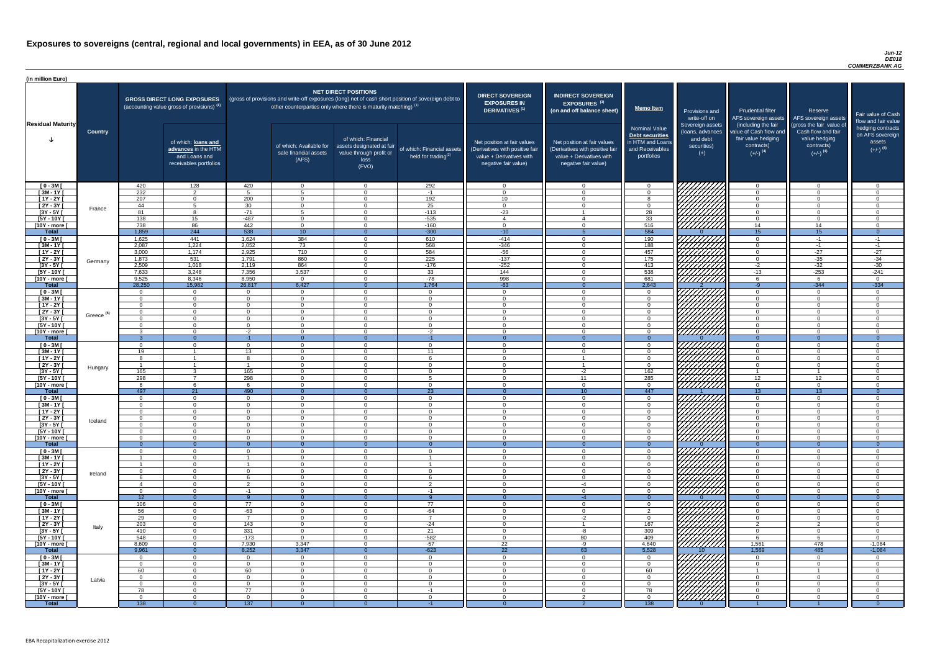#### *Jun-12 DE018 COMMERZBANK AG*

| (in million Euro)             |                       |                 |                                                                                             |                 |                                                                                                                                                                                   |                                                                                              |                                                      |                                                                                                                    |                                                                                                                    |                                                                                              |                                                                          |                                                                                                             |                                                                                                         |                                                                           |
|-------------------------------|-----------------------|-----------------|---------------------------------------------------------------------------------------------|-----------------|-----------------------------------------------------------------------------------------------------------------------------------------------------------------------------------|----------------------------------------------------------------------------------------------|------------------------------------------------------|--------------------------------------------------------------------------------------------------------------------|--------------------------------------------------------------------------------------------------------------------|----------------------------------------------------------------------------------------------|--------------------------------------------------------------------------|-------------------------------------------------------------------------------------------------------------|---------------------------------------------------------------------------------------------------------|---------------------------------------------------------------------------|
| <b>Residual Maturity</b>      |                       |                 | <b>GROSS DIRECT LONG EXPOSURES</b><br>(accounting value gross of provisions) <sup>(1)</sup> |                 | (gross of provisions and write-off exposures (long) net of cash short position of sovereign debt to<br>other counterparties only where there is maturity matching) <sup>(1)</sup> | <b>NET DIRECT POSITIONS</b>                                                                  |                                                      | <b>DIRECT SOVEREIGN</b><br><b>EXPOSURES IN</b><br>DERIVATIVES <sup>(1)</sup>                                       | <b>INDIRECT SOVEREIGN</b><br><b>EXPOSURES<sup>(3)</sup></b><br>(on and off balance sheet)                          | <b>Memo Item</b>                                                                             | Provisions and<br>write-off on                                           | <b>Prudential filter</b>                                                                                    | Reserve<br>AFS sovereign assets AFS sovereign assets                                                    | Fair value of Cash<br>flow and fair value                                 |
|                               | <b>Country</b>        |                 | of which: loans and<br>advances in the HTM<br>and Loans and<br>receivables portfolios       |                 | of which: Available for<br>sale financial assets<br>(AFS)                                                                                                                         | of which: Financial<br>assets designated at fair<br>value through profit or<br>loss<br>(FVO) | of which: Financial assets<br>held for trading $(2)$ | Net position at fair values<br>(Derivatives with positive fair<br>value + Derivatives with<br>negative fair value) | Net position at fair values<br>(Derivatives with positive fair<br>value + Derivatives with<br>negative fair value) | <b>Nominal Value</b><br>Debt securities<br>in HTM and Loans<br>and Receivables<br>portfolios | Sovereign assets<br>(Ioans, advances<br>and debt<br>securities)<br>$(+)$ | (including the fair<br>value of Cash flow and<br>fair value hedging<br>contracts)<br>$(+/-)$ <sup>(4)</sup> | (gross the fair value of<br>Cash flow and fair<br>value hedging<br>contracts)<br>$(+/-)$ <sup>(4)</sup> | hedging contracts<br>on AFS sovereign<br>assets<br>$(+/-)$ <sup>(4)</sup> |
| $[0 - 3M]$                    |                       | 420             | 128                                                                                         | 420             | $\overline{0}$                                                                                                                                                                    | $\Omega$                                                                                     | 292                                                  | - റ                                                                                                                | $\cap$                                                                                                             | $\Omega$                                                                                     |                                                                          | $\overline{0}$                                                                                              | $\cap$                                                                                                  | $\overline{0}$                                                            |
| $[3M - 1Y]$                   |                       | 232<br>207      | 2                                                                                           | Б.              | $-5$                                                                                                                                                                              | $\Omega$<br>$\Omega$                                                                         | $-1$                                                 | $\cap$                                                                                                             |                                                                                                                    | $\Omega$                                                                                     |                                                                          | $\overline{0}$                                                                                              |                                                                                                         | $\Omega$<br>$\Omega$                                                      |
| $[1Y - 2Y]$<br>$[2Y - 3Y]$    |                       | 44              | $\Omega$<br>-5                                                                              | 200<br>30       | $\Omega$<br>$\Omega$                                                                                                                                                              | $\Omega$                                                                                     | 192<br>25                                            | 10<br>$\Omega$                                                                                                     | $\cap$                                                                                                             | 8<br>$\Omega$                                                                                |                                                                          | $\overline{0}$<br>$\overline{0}$                                                                            | $\cap$                                                                                                  | $\Omega$                                                                  |
| $[3Y - 5Y]$                   | France                | 81              | $\mathbf{R}$                                                                                | $-71$           | $5^{\circ}$                                                                                                                                                                       | $\Omega$                                                                                     | $-113$                                               | $-23$                                                                                                              |                                                                                                                    | 28                                                                                           |                                                                          | $\overline{0}$                                                                                              | $\cap$                                                                                                  | $\Omega$                                                                  |
| $[5Y - 10Y]$                  |                       | 138             | 15                                                                                          | $-487$          | $\Omega$                                                                                                                                                                          | $\Omega$                                                                                     | $-535$                                               | $\overline{4}$                                                                                                     |                                                                                                                    | 33                                                                                           |                                                                          | $\overline{0}$                                                                                              | $\cap$                                                                                                  | $\Omega$                                                                  |
| [10Y - more [                 |                       | 738             | 86                                                                                          | 442             | $\overline{0}$                                                                                                                                                                    | $\Omega$                                                                                     | $-160$                                               | $\cap$                                                                                                             | $\Omega$                                                                                                           | 516                                                                                          | <u>VIIIIIII</u>                                                          | 14                                                                                                          | 14                                                                                                      | $\overline{0}$                                                            |
| <b>Total</b>                  |                       | 1,859           | 244                                                                                         | 538             | 10                                                                                                                                                                                | $\Omega$                                                                                     | $-300$                                               | $-10$                                                                                                              |                                                                                                                    | 584                                                                                          |                                                                          | 15                                                                                                          | 15                                                                                                      | $\overline{0}$                                                            |
| $[0 - 3M]$                    |                       | 1,625           | 441                                                                                         | 1,624           | 384                                                                                                                                                                               | $\Omega$                                                                                     | 610                                                  | $-414$                                                                                                             |                                                                                                                    | 190                                                                                          |                                                                          | $\overline{0}$                                                                                              | $-1$                                                                                                    | $-1$                                                                      |
| $[3M - 1Y]$                   |                       | 2,087           | 1,224                                                                                       | 2,052           | $\overline{73}$                                                                                                                                                                   | $\Omega$                                                                                     | 568                                                  | $-346$                                                                                                             |                                                                                                                    | 188                                                                                          |                                                                          | $\overline{0}$                                                                                              | $-1$                                                                                                    | $-1$                                                                      |
| $[1Y - 2Y]$                   |                       | 3,000           | 1,174                                                                                       | 2,925           | 710                                                                                                                                                                               | $\Omega$                                                                                     | 584                                                  | $-56$                                                                                                              |                                                                                                                    | 457                                                                                          |                                                                          | $\overline{0}$                                                                                              | $-27$                                                                                                   | $-27$                                                                     |
| $[2Y - 3Y]$                   | Germany               | 1,873           | 531                                                                                         | 1,791           | 860                                                                                                                                                                               | $\Omega$                                                                                     | 225                                                  | $-137$                                                                                                             |                                                                                                                    | 175                                                                                          |                                                                          | $\overline{0}$                                                                                              | $-35$                                                                                                   | $-34$                                                                     |
| $[3Y - 5Y]$<br>$[5Y - 10Y]$   |                       | 2,509           | 1,018<br>3,248                                                                              | 2,119           | 864<br>3,537                                                                                                                                                                      |                                                                                              | $-176$                                               | $-252$                                                                                                             |                                                                                                                    | 413                                                                                          | 777777771                                                                | $-2$                                                                                                        | $-32$                                                                                                   | $-30$                                                                     |
| [10Y - more [                 |                       | 7,633<br>9,525  | 8,346                                                                                       | 7,356<br>8,950  | $\Omega$                                                                                                                                                                          | $\Omega$                                                                                     | 33<br>$-78$                                          | 144<br>998                                                                                                         |                                                                                                                    | 538<br>681                                                                                   | ////////////                                                             | $-13$<br>6                                                                                                  | $-253$                                                                                                  | $-241$<br>$\Omega$                                                        |
| <b>Total</b>                  |                       | 28,250          | 15,982                                                                                      | 26,817          | 6,427                                                                                                                                                                             |                                                                                              | 1,764                                                | $-63$                                                                                                              |                                                                                                                    | 2,643                                                                                        |                                                                          | $-9$                                                                                                        | $-344$                                                                                                  | $-334$                                                                    |
| $[0 - 3M]$                    |                       | $\cap$          | $\overline{0}$                                                                              | $\cap$          | $\Omega$                                                                                                                                                                          | $\Omega$                                                                                     | $\overline{0}$                                       | $\cap$                                                                                                             |                                                                                                                    | $\Omega$                                                                                     | 77777777                                                                 | $\overline{0}$                                                                                              | $\cap$                                                                                                  | $\overline{0}$                                                            |
| $[3M - 1Y]$                   |                       | $\cap$          | $\overline{0}$                                                                              | $\Omega$        | $\Omega$                                                                                                                                                                          | $\Omega$                                                                                     | $\Omega$                                             | $\bigcap$                                                                                                          | $\cap$                                                                                                             | $\overline{0}$                                                                               |                                                                          | $\overline{0}$                                                                                              | $\cap$                                                                                                  | $\overline{0}$                                                            |
| $[1Y - 2Y]$                   |                       | $\cap$          | $\Omega$                                                                                    | $\cap$          | $\Omega$                                                                                                                                                                          | $\Omega$                                                                                     | $\Omega$                                             | - 0                                                                                                                | $\cap$                                                                                                             | $\overline{0}$                                                                               |                                                                          | $\overline{0}$                                                                                              | $\cap$                                                                                                  | $\overline{0}$                                                            |
| $[2Y - 3Y]$                   | Greece <sup>(5)</sup> | $\Omega$        | $\Omega$                                                                                    | $\Omega$        | $\Omega$                                                                                                                                                                          | $\Omega$                                                                                     | $\Omega$                                             | $\cap$                                                                                                             | $\cap$                                                                                                             | $\overline{0}$                                                                               | <i>VHHHA</i>                                                             | $\Omega$                                                                                                    | $\cap$                                                                                                  | $\Omega$                                                                  |
| $[3Y - 5Y]$                   |                       |                 |                                                                                             |                 |                                                                                                                                                                                   |                                                                                              |                                                      |                                                                                                                    |                                                                                                                    |                                                                                              |                                                                          |                                                                                                             |                                                                                                         |                                                                           |
| $[5Y - 10Y]$                  |                       | $\Omega$        | $\Omega$                                                                                    | $\Omega$        | $\overline{0}$                                                                                                                                                                    | $\Omega$                                                                                     | $\Omega$                                             | - 0                                                                                                                |                                                                                                                    | $\Omega$                                                                                     | <i>UUUU</i>                                                              | $\overline{0}$                                                                                              | $\cap$                                                                                                  | - 0                                                                       |
| [10Y - more [<br><b>Total</b> |                       |                 | $\Omega$<br>$\Omega$                                                                        | $-2$<br>$-1$    | $\Omega$                                                                                                                                                                          | $\Omega$                                                                                     | $-2$<br>$-1$                                         | ി                                                                                                                  |                                                                                                                    | $\Omega$                                                                                     | <u>77777777</u> 7                                                        | $\Omega$<br>$\Omega$                                                                                        | $\cap$                                                                                                  | $\Omega$                                                                  |
| $[0 - 3M]$                    |                       |                 | $\Omega$                                                                                    | $\Omega$        | $\Omega$                                                                                                                                                                          | $\Omega$                                                                                     | $\overline{0}$                                       | $\Omega$                                                                                                           | ∩                                                                                                                  | $\Omega$                                                                                     |                                                                          | $\overline{0}$                                                                                              | $\cap$                                                                                                  | $\Omega$                                                                  |
| $[3M - 1Y]$                   |                       | 19              |                                                                                             | 13              | $\Omega$                                                                                                                                                                          | $\Omega$                                                                                     | 11                                                   | - 0                                                                                                                | $\cap$                                                                                                             | $\Omega$                                                                                     |                                                                          | $\overline{0}$                                                                                              | $\cap$                                                                                                  | $\Omega$                                                                  |
| $[1Y - 2Y]$                   |                       |                 |                                                                                             | 8               | $\Omega$                                                                                                                                                                          | $\Omega$                                                                                     | 6                                                    | - 0                                                                                                                |                                                                                                                    | $\Omega$                                                                                     |                                                                          | $\Omega$                                                                                                    | $\Omega$                                                                                                | $\Omega$                                                                  |
| $[2Y - 3Y]$                   | Hungary               | - 1             |                                                                                             | $\overline{1}$  | $\Omega$                                                                                                                                                                          | $\Omega$                                                                                     | $\Omega$                                             | - 0                                                                                                                |                                                                                                                    | $\Omega$                                                                                     |                                                                          | $\Omega$                                                                                                    | $\Omega$                                                                                                | $\Omega$                                                                  |
| $[3Y - 5Y]$                   |                       | 165             | $\mathcal{R}$                                                                               | 165             | $\Omega$                                                                                                                                                                          | $\Omega$                                                                                     | $\Omega$                                             | - വ                                                                                                                | $-2$                                                                                                               | 162                                                                                          |                                                                          | -1                                                                                                          | -1                                                                                                      | $\Omega$                                                                  |
| $[5Y - 10Y]$                  |                       | 298             | $\overline{7}$                                                                              | 298             | $\Omega$                                                                                                                                                                          | $\Omega$                                                                                     | $5^{\circ}$                                          | $\cap$                                                                                                             | 11                                                                                                                 | 285                                                                                          | HHHHA                                                                    | 12 <sup>7</sup>                                                                                             | 12                                                                                                      | - 0                                                                       |
| [10Y - more [                 |                       |                 | 6                                                                                           | $\epsilon$      | $\Omega$                                                                                                                                                                          | $\Omega$                                                                                     | $\Omega$                                             | $\cap$                                                                                                             | $\Omega$                                                                                                           | $\Omega$                                                                                     |                                                                          | $\overline{0}$                                                                                              | $\cap$                                                                                                  | $\Omega$                                                                  |
| <b>Total</b>                  |                       | 497<br>$\Omega$ | 21<br>$\overline{0}$                                                                        | 490<br>$\Omega$ | $\Omega$<br>$\overline{0}$                                                                                                                                                        | $\Omega$<br>$\Omega$                                                                         | 23<br>$\Omega$                                       | $\Omega$<br>$\Omega$                                                                                               | 10 <sup>°</sup><br>$\cap$                                                                                          | 447<br>$\Omega$                                                                              |                                                                          | 13 <sup>°</sup><br>$\overline{0}$                                                                           | 13<br>$\Omega$                                                                                          | - 0<br>$\Omega$                                                           |
| $[0 - 3M]$<br>$[3M - 1Y]$     |                       |                 | $\overline{0}$                                                                              | $\Omega$        | $\Omega$                                                                                                                                                                          | $\Omega$                                                                                     | $\Omega$                                             | - 0                                                                                                                | $\cap$                                                                                                             | $\Omega$                                                                                     |                                                                          | $\Omega$                                                                                                    | $\Omega$                                                                                                | $\Omega$                                                                  |
| $[1Y - 2Y]$                   |                       |                 | $\Omega$                                                                                    |                 | $\Omega$                                                                                                                                                                          | $\Omega$                                                                                     | $\Omega$                                             | - 0                                                                                                                |                                                                                                                    | $\Omega$                                                                                     |                                                                          | $\Omega$                                                                                                    |                                                                                                         | $\Omega$                                                                  |
| [2Y - 3Y [                    |                       |                 | $\Omega$                                                                                    |                 | $\Omega$                                                                                                                                                                          | $\Omega$                                                                                     | $\Omega$                                             | - 0                                                                                                                |                                                                                                                    | $\Omega$                                                                                     |                                                                          | $\Omega$                                                                                                    |                                                                                                         | $\Omega$                                                                  |
| $[3Y - 5Y]$                   | Iceland               |                 | $\Omega$                                                                                    |                 | - 0                                                                                                                                                                               | $\Omega$                                                                                     | $\Omega$                                             |                                                                                                                    |                                                                                                                    | $\Omega$                                                                                     |                                                                          | $\Omega$                                                                                                    |                                                                                                         |                                                                           |
| $[5Y - 10Y]$                  |                       |                 | $\Omega$                                                                                    |                 | - 0                                                                                                                                                                               |                                                                                              | $\Omega$                                             |                                                                                                                    |                                                                                                                    | $\Omega$                                                                                     |                                                                          | $\Omega$                                                                                                    |                                                                                                         | $\cap$                                                                    |
| [10Y - more [                 |                       | $\Omega$        | $\Omega$                                                                                    |                 | - 0                                                                                                                                                                               | $\Omega$                                                                                     | $\Omega$                                             | - 0                                                                                                                |                                                                                                                    | $\Omega$                                                                                     |                                                                          | $\overline{0}$                                                                                              |                                                                                                         | $\Omega$                                                                  |
| <b>Total</b>                  |                       | - റ             | $\Omega$<br>$\Omega$                                                                        |                 | - റ<br>$\Omega$                                                                                                                                                                   | $\Omega$                                                                                     | $\Omega$<br>$\Omega$                                 | - 0<br>- വ                                                                                                         |                                                                                                                    | $\Omega$                                                                                     |                                                                          | $\Omega$                                                                                                    |                                                                                                         | - റ<br>$\Omega$                                                           |
| $[0 - 3M]$<br>$\sqrt{3M-1Y}$  |                       |                 | $\overline{0}$                                                                              |                 | $\Omega$                                                                                                                                                                          | $\Omega$                                                                                     |                                                      | - വ                                                                                                                |                                                                                                                    | $\Omega$<br>$\Omega$                                                                         |                                                                          | $\overline{0}$<br>$\overline{0}$                                                                            | $\Omega$                                                                                                | $\Omega$                                                                  |
| $[1Y - 2Y]$                   |                       |                 | $\overline{0}$                                                                              |                 | $\Omega$                                                                                                                                                                          | $\Omega$                                                                                     |                                                      | $\Omega$                                                                                                           |                                                                                                                    | $\overline{0}$                                                                               |                                                                          | $\overline{0}$                                                                                              | $\Omega$                                                                                                | $\Omega$                                                                  |
| $[2Y - 3Y]$                   |                       | $\cap$          | $\overline{0}$                                                                              | $\cap$          | $\Omega$                                                                                                                                                                          | $\Omega$                                                                                     | $\Omega$                                             | $\Omega$                                                                                                           |                                                                                                                    | $\Omega$                                                                                     | 77777777777                                                              | $\overline{0}$                                                                                              | $\Omega$                                                                                                | $\Omega$                                                                  |
| $[3Y - 5Y]$                   | Ireland               |                 | $\overline{0}$                                                                              |                 | $\Omega$                                                                                                                                                                          | $\Omega$                                                                                     |                                                      | $\Omega$                                                                                                           | $\cap$                                                                                                             | $\overline{0}$                                                                               |                                                                          | $\overline{0}$                                                                                              | $\Omega$                                                                                                | $\Omega$                                                                  |
| $[5Y - 10Y]$                  |                       |                 | $\Omega$                                                                                    | $\mathcal{D}$   | $\Omega$                                                                                                                                                                          | $\Omega$                                                                                     | $\overline{2}$                                       | - 0                                                                                                                | $-4$                                                                                                               | $\Omega$                                                                                     | 777777777                                                                | $\overline{0}$                                                                                              | $\cap$                                                                                                  | $\Omega$                                                                  |
| [10Y - more [                 |                       | $\Omega$        | $\Omega$                                                                                    | $-1$            | $\Omega$                                                                                                                                                                          | $\Omega$                                                                                     | $-1$                                                 | $\Omega$                                                                                                           | $\cap$                                                                                                             | $\Omega$                                                                                     |                                                                          | $\overline{0}$                                                                                              | $\Omega$                                                                                                | $\Omega$                                                                  |
| <b>Total</b>                  |                       | 12              | $\Omega$                                                                                    |                 |                                                                                                                                                                                   |                                                                                              |                                                      | $\Omega$                                                                                                           |                                                                                                                    |                                                                                              |                                                                          | $\Omega$                                                                                                    |                                                                                                         | $\Omega$                                                                  |
| $[0 - 3M]$<br>$[3M - 1Y]$     |                       | 106<br>56       | $\Omega$<br>$\overline{0}$                                                                  | 77<br>$-63$     | $\Omega$<br>$\Omega$                                                                                                                                                              | $\Omega$<br>$\Omega$                                                                         | 77<br>$-64$                                          | - 0<br>- 0                                                                                                         | $\cap$                                                                                                             | $\Omega$<br>2                                                                                |                                                                          | $\overline{0}$<br>$\overline{0}$                                                                            | $\cap$                                                                                                  | $\Omega$<br>$\Omega$                                                      |
| $[1Y - 2Y]$                   |                       | 29              | $\overline{0}$                                                                              | $\overline{7}$  | $\Omega$                                                                                                                                                                          | $\Omega$                                                                                     | $\overline{7}$                                       | - 0                                                                                                                | $-2$                                                                                                               | $\Omega$                                                                                     |                                                                          | $\overline{0}$                                                                                              | $\Omega$                                                                                                | $\Omega$                                                                  |
| $[2Y - 3Y]$                   |                       | 203             | $\overline{0}$                                                                              | 143             | $\Omega$                                                                                                                                                                          | $\Omega$                                                                                     | $-24$                                                | - 0                                                                                                                |                                                                                                                    | 167                                                                                          |                                                                          | 2                                                                                                           | $\mathcal{P}$                                                                                           | $\Omega$                                                                  |
| $[3Y - 5Y]$                   | Italy                 | 410             | $\Omega$                                                                                    | 331             | $\Omega$                                                                                                                                                                          | $\Omega$                                                                                     | 21                                                   | $\cap$                                                                                                             | -8                                                                                                                 | 309                                                                                          |                                                                          | $\overline{0}$                                                                                              | $\cap$                                                                                                  | $\Omega$                                                                  |
| $[5Y - 10Y]$                  |                       | 548             | $\overline{0}$                                                                              | $-173$          | $\Omega$                                                                                                                                                                          | $\Omega$                                                                                     | $-582$                                               | - 0                                                                                                                | 80                                                                                                                 | 409                                                                                          |                                                                          | 6                                                                                                           | 6                                                                                                       | $\Omega$                                                                  |
| [10Y - more [                 |                       | 8,609           | $\Omega$                                                                                    | 7,930           | 3,347                                                                                                                                                                             | $\Omega$                                                                                     | $-57$                                                | 22                                                                                                                 | -9                                                                                                                 | 4,640                                                                                        | 777777777                                                                | 1,561                                                                                                       | 478                                                                                                     | $-1,084$                                                                  |
| <b>Total</b>                  |                       | 9,961           | $\Omega$                                                                                    | 8,252           | 3,347                                                                                                                                                                             |                                                                                              | $-623$                                               | 22                                                                                                                 | 63                                                                                                                 | 5,528                                                                                        |                                                                          | 1,569                                                                                                       | 485                                                                                                     | $-1,084$                                                                  |
| $[0 - 3M]$<br>$[3M - 1Y]$     |                       | $\Omega$        | $\Omega$<br>$\overline{0}$                                                                  | $\Omega$        | $\Omega$<br>$\overline{0}$                                                                                                                                                        | $\Omega$<br>$\Omega$                                                                         | $\Omega$<br>$\Omega$                                 | - 0<br>$\Omega$                                                                                                    |                                                                                                                    | $\Omega$<br>$\Omega$                                                                         | <i>VIIIIIIII</i>                                                         | $\Omega$<br>$\overline{0}$                                                                                  | $\cap$                                                                                                  | $\cap$<br>$\Omega$                                                        |
| $[1Y - 2Y]$                   |                       | 60              | $\overline{0}$                                                                              | 60              | $\Omega$                                                                                                                                                                          | $\Omega$                                                                                     | $\Omega$                                             | - 0                                                                                                                |                                                                                                                    | 60                                                                                           |                                                                          | $\overline{\mathbf{1}}$                                                                                     | - 1                                                                                                     | $\Omega$                                                                  |
| $[2Y - 3Y]$                   |                       | $\Omega$        | $\overline{0}$                                                                              | $\Omega$        | $\Omega$                                                                                                                                                                          | $\Omega$                                                                                     | $\overline{0}$                                       | - റ                                                                                                                |                                                                                                                    | $\Omega$                                                                                     |                                                                          | $\Omega$                                                                                                    |                                                                                                         | $\Omega$                                                                  |
| $[3Y - 5Y]$                   | Latvia                |                 | $\Omega$                                                                                    |                 | - 0                                                                                                                                                                               | $\Omega$                                                                                     | $\Omega$                                             | $\cap$                                                                                                             |                                                                                                                    | $\Omega$                                                                                     |                                                                          | $\Omega$                                                                                                    |                                                                                                         | $\Omega$                                                                  |
| [5Y - 10Y [                   |                       | 78              | $\overline{0}$                                                                              | 77              | $\Omega$                                                                                                                                                                          | $\Omega$                                                                                     | $-1$                                                 | - 0                                                                                                                |                                                                                                                    | 78                                                                                           | HANG SANG                                                                | $\Omega$                                                                                                    |                                                                                                         | $\Omega$                                                                  |
| [10Y - more [                 |                       | $\Omega$        | $\Omega$                                                                                    | $\Omega$        | - 0                                                                                                                                                                               | $\Omega$                                                                                     | $\Omega$                                             |                                                                                                                    | $\Omega$                                                                                                           | $\Omega$                                                                                     |                                                                          | $\Omega$                                                                                                    |                                                                                                         | $\Omega$                                                                  |
| <b>Total</b>                  |                       | 138             | $\Omega$                                                                                    | 137             |                                                                                                                                                                                   |                                                                                              | $-1$                                                 |                                                                                                                    |                                                                                                                    | 138                                                                                          |                                                                          |                                                                                                             |                                                                                                         | - റ                                                                       |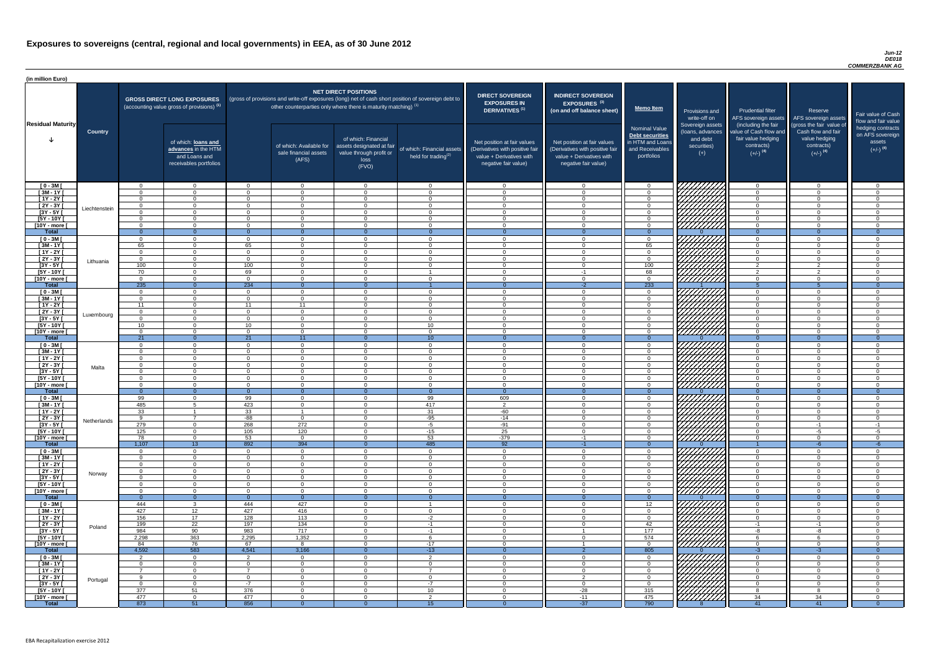#### *Jun-12 DE018 COMMERZBANK AG*

| (in million Euro)             |                |                      |                                                                                       |                          |                                                                                                                                                                          |                                                                                              |                                                      |                                                                                                                    |                                                                                                                    |                                                                                              |                                                                          |                                                                                                             |                                                                                                         |                                                                           |
|-------------------------------|----------------|----------------------|---------------------------------------------------------------------------------------|--------------------------|--------------------------------------------------------------------------------------------------------------------------------------------------------------------------|----------------------------------------------------------------------------------------------|------------------------------------------------------|--------------------------------------------------------------------------------------------------------------------|--------------------------------------------------------------------------------------------------------------------|----------------------------------------------------------------------------------------------|--------------------------------------------------------------------------|-------------------------------------------------------------------------------------------------------------|---------------------------------------------------------------------------------------------------------|---------------------------------------------------------------------------|
| <b>Residual Maturity</b><br>J |                |                      | <b>GROSS DIRECT LONG EXPOSURES</b><br>(accounting value gross of provisions) (1)      |                          | (gross of provisions and write-off exposures (long) net of cash short position of sovereign debt to<br>other counterparties only where there is maturity matching) $(1)$ | <b>NET DIRECT POSITIONS</b>                                                                  |                                                      | <b>DIRECT SOVEREIGN</b><br><b>EXPOSURES IN</b><br><b>DERIVATIVES (1)</b>                                           | <b>INDIRECT SOVEREIGN</b><br><b>EXPOSURES<sup>(3)</sup></b><br>(on and off balance sheet)                          | <b>Memo Item</b>                                                                             | Provisions and<br>write-off on                                           | <b>Prudential filter</b>                                                                                    | Reserve<br>AFS sovereign assets AFS sovereign assets                                                    | Fair value of Cash<br>flow and fair value                                 |
|                               | <b>Country</b> |                      | of which: loans and<br>advances in the HTM<br>and Loans and<br>receivables portfolios |                          | of which: Available for<br>sale financial assets<br>(AFS)                                                                                                                | of which: Financial<br>assets designated at fair<br>value through profit or<br>loss<br>(FVO) | of which: Financial assets<br>held for trading $(2)$ | Net position at fair values<br>(Derivatives with positive fair<br>value + Derivatives with<br>negative fair value) | Net position at fair values<br>(Derivatives with positive fair<br>value + Derivatives with<br>negative fair value) | <b>Nominal Value</b><br>Debt securities<br>in HTM and Loans<br>and Receivables<br>portfolios | Sovereign assets<br>(Ioans, advances<br>and debt<br>securities)<br>$(+)$ | (including the fair<br>value of Cash flow and<br>fair value hedging<br>contracts)<br>$(+/-)$ <sup>(4)</sup> | (gross the fair value of<br>Cash flow and fair<br>value hedging<br>contracts)<br>$(+/-)$ <sup>(4)</sup> | hedging contracts<br>on AFS sovereign<br>assets<br>$(+/-)$ <sup>(4)</sup> |
| $[0 - 3M]$                    |                | . റ                  | $\overline{0}$                                                                        |                          | $\Omega$                                                                                                                                                                 | $\Omega$                                                                                     | $\overline{0}$                                       | $\Omega$                                                                                                           |                                                                                                                    | $\Omega$                                                                                     |                                                                          | $\overline{0}$                                                                                              | $\Omega$                                                                                                | - 0                                                                       |
| $[3M-1Y]$                     |                | $\Omega$             | $\Omega$<br>$\Omega$                                                                  |                          | $\Omega$                                                                                                                                                                 | $\Omega$<br>$\Omega$                                                                         | $\Omega$                                             | - 0<br>$\cap$                                                                                                      |                                                                                                                    | $\Omega$                                                                                     |                                                                          | $\Omega$                                                                                                    | $\Omega$                                                                                                | $\cap$<br>$\cap$                                                          |
| $[1Y - 2Y]$<br>$[2Y - 3Y]$    |                | $\Omega$             | $\overline{0}$                                                                        | $\Omega$                 | $\Omega$<br>$\Omega$                                                                                                                                                     | $\Omega$                                                                                     | $\overline{0}$<br>$\Omega$                           | $\cap$                                                                                                             |                                                                                                                    | $\Omega$<br>$\Omega$                                                                         |                                                                          | $\Omega$<br>$\overline{0}$                                                                                  | $\Omega$                                                                                                | $\Omega$                                                                  |
| $[3Y - 5Y]$                   | Liechtenstein  | $\cap$               | $\overline{0}$                                                                        | $\cap$                   | $\Omega$                                                                                                                                                                 | $\Omega$                                                                                     | $\Omega$                                             | $\cap$                                                                                                             | $\Omega$                                                                                                           | $\overline{0}$                                                                               | HAHARA KADALLAR<br>HAHARARA                                              | $\overline{0}$                                                                                              | $\Omega$                                                                                                | $\cap$                                                                    |
| $[5Y - 10Y]$                  |                | $\cap$               | $\Omega$                                                                              | $\Omega$                 | $\Omega$                                                                                                                                                                 | $\Omega$                                                                                     | $\Omega$                                             | $\bigcap$                                                                                                          | $\Omega$                                                                                                           | $\overline{0}$                                                                               |                                                                          | $\overline{0}$                                                                                              | $\Omega$                                                                                                | $\Omega$                                                                  |
| [10Y - more [                 |                | $\Omega$             | $\overline{0}$                                                                        | $\Omega$                 | $\overline{0}$                                                                                                                                                           | $\Omega$                                                                                     | $\overline{0}$                                       | $\Omega$                                                                                                           | $\Omega$                                                                                                           | $\overline{0}$                                                                               |                                                                          | $\overline{0}$                                                                                              | $\Omega$                                                                                                | $\Omega$                                                                  |
| <b>Total</b>                  |                | - റ<br>$\Omega$      | $\Omega$                                                                              | $\Omega$<br>$\Omega$     | $\Omega$                                                                                                                                                                 | $\Omega$                                                                                     | $\Omega$                                             | - 0<br>$\bigcap$                                                                                                   | $\Omega$                                                                                                           | $\Omega$                                                                                     | VIIIIIIII                                                                | $\overline{0}$                                                                                              | $\Omega$<br>$\Omega$                                                                                    | $\Omega$<br>_റ                                                            |
| $[0 - 3M]$<br>$[3M - 1Y]$     |                | 65                   | $\Omega$<br>$\overline{0}$                                                            | 65                       | $\Omega$<br>$\Omega$                                                                                                                                                     | $\Omega$                                                                                     | $\overline{0}$<br>$\overline{0}$                     | $\Omega$                                                                                                           |                                                                                                                    | $\overline{0}$<br>65                                                                         |                                                                          | $\overline{0}$<br>$\overline{0}$                                                                            | $\Omega$                                                                                                | $\Omega$                                                                  |
| $[1Y - 2Y]$                   |                | $\Omega$             | $\overline{0}$                                                                        | ∩                        | $\Omega$                                                                                                                                                                 | $\Omega$                                                                                     | $\Omega$                                             | $\Omega$                                                                                                           |                                                                                                                    | $\overline{0}$                                                                               | UMAN<br>UMAN                                                             | $\overline{0}$                                                                                              | $\Omega$                                                                                                | $\Omega$                                                                  |
| $[2Y - 3Y]$                   | Lithuania      | $\Omega$             | $\Omega$                                                                              | $\Omega$                 | $\Omega$                                                                                                                                                                 | $\Omega$                                                                                     | $\Omega$                                             | $\Omega$                                                                                                           |                                                                                                                    | $\overline{0}$                                                                               |                                                                          | $\overline{0}$                                                                                              | $\Omega$                                                                                                | $\Omega$                                                                  |
| $\sqrt{3Y - 5Y}$              |                | 100                  | $\overline{0}$                                                                        | 100                      | $\overline{0}$                                                                                                                                                           | $\Omega$                                                                                     | $\overline{0}$                                       | $\overline{0}$                                                                                                     |                                                                                                                    | 100                                                                                          |                                                                          | $\overline{2}$                                                                                              | $\mathcal{P}$                                                                                           | - 0                                                                       |
| $[5Y - 10Y]$                  |                | 70<br>$\cap$         | $\Omega$<br>$\Omega$                                                                  | 69<br>$\cap$             | $\Omega$<br>$\Omega$                                                                                                                                                     | $\Omega$<br>$\cap$                                                                           | $\Omega$                                             | $\cap$<br>$\cap$                                                                                                   | - 1<br>റ                                                                                                           | 68                                                                                           |                                                                          | $\overline{2}$<br>$\Omega$                                                                                  | $\mathcal{D}$<br>$\Omega$                                                                               | $\cap$<br>$\cap$                                                          |
| [10Y - more [<br><b>Total</b> |                | 235                  | $\Omega$                                                                              | 234                      | $\Omega$                                                                                                                                                                 |                                                                                              |                                                      | - 0                                                                                                                | $-2$                                                                                                               | $\Omega$<br>233                                                                              | 7777777777                                                               |                                                                                                             |                                                                                                         | - 0                                                                       |
| $[0 - 3M]$                    |                | $\cap$               | $\Omega$                                                                              | $\cap$                   | $\Omega$                                                                                                                                                                 | $\Omega$                                                                                     | - റ                                                  | $\cap$                                                                                                             | $\Omega$                                                                                                           | $\Omega$                                                                                     | HAAAN<br>HAAAN                                                           | $\overline{0}$                                                                                              | $\cap$                                                                                                  | $\cap$                                                                    |
| $[3M - 1Y]$                   |                | $\cap$               | $\Omega$                                                                              | $\cap$                   | $\Omega$                                                                                                                                                                 | $\Omega$                                                                                     | $\overline{0}$                                       | $\cap$                                                                                                             | $\Omega$                                                                                                           | $\Omega$                                                                                     |                                                                          | $\overline{0}$                                                                                              | $\cap$                                                                                                  | $\cap$                                                                    |
| $[1Y - 2Y]$                   |                | 11                   | $\Omega$                                                                              | 11                       | 11                                                                                                                                                                       | - റ                                                                                          | $\overline{0}$                                       | $\cap$<br>$\bigcap$                                                                                                | $\Omega$<br>$\Omega$                                                                                               | $\overline{0}$                                                                               |                                                                          | $\Omega$                                                                                                    | $\cap$                                                                                                  | $\cap$<br>$\sqrt{ }$                                                      |
| $[2Y - 3Y]$<br>$[3Y - 5Y]$    | Luxembourg     | $\Omega$             | $\Omega$                                                                              | $\Omega$                 | $\Omega$                                                                                                                                                                 | $\Omega$                                                                                     | $\Omega$                                             |                                                                                                                    |                                                                                                                    | $\Omega$                                                                                     |                                                                          | $\Omega$                                                                                                    | $\Omega$                                                                                                |                                                                           |
| $[5Y - 10Y]$                  |                | 10                   | $\Omega$                                                                              | 10 <sup>1</sup>          | - 0                                                                                                                                                                      | $\Omega$                                                                                     | 10 <sup>1</sup>                                      |                                                                                                                    |                                                                                                                    | $\Omega$                                                                                     |                                                                          | $\Omega$                                                                                                    |                                                                                                         |                                                                           |
| [10Y - more [                 |                | $\Omega$             | $\Omega$                                                                              | $\Omega$                 | $\Omega$                                                                                                                                                                 | $\Omega$                                                                                     | $\Omega$                                             |                                                                                                                    |                                                                                                                    | $\Omega$                                                                                     | HHHH                                                                     | $\Omega$                                                                                                    | $\Omega$                                                                                                |                                                                           |
| <b>Total</b>                  |                | 21                   | $\Omega$                                                                              | 21                       | 11                                                                                                                                                                       | $\Omega$                                                                                     | 10 <sup>°</sup>                                      |                                                                                                                    |                                                                                                                    | $\Omega$                                                                                     |                                                                          | $\Omega$                                                                                                    | $\Omega$                                                                                                | - 0                                                                       |
| $[0 - 3M]$<br>$[3M - 1Y]$     |                | $\Omega$<br>$\Omega$ | $\Omega$<br>$\Omega$                                                                  | $\Omega$<br>$\Omega$     | $\Omega$<br>$\Omega$                                                                                                                                                     | $\Omega$<br>$\Omega$                                                                         | $\overline{0}$<br>$\Omega$                           | - വ<br>- വ                                                                                                         |                                                                                                                    | $\Omega$<br>$\Omega$                                                                         |                                                                          | $\Omega$<br>$\Omega$                                                                                        | $\Omega$<br>$\Omega$                                                                                    | $\cap$                                                                    |
| [ 1Y - 2Y [                   |                | $\Omega$             | $\Omega$                                                                              | $\Omega$                 | $\Omega$                                                                                                                                                                 | $\Omega$                                                                                     | $\overline{0}$                                       | $\cap$                                                                                                             | $\cap$                                                                                                             | $\Omega$                                                                                     |                                                                          | $\Omega$                                                                                                    | $\Omega$                                                                                                | $\Omega$                                                                  |
| [2Y - 3Y [                    | Malta          | $\Omega$             | $\Omega$                                                                              | $\Omega$                 | $\Omega$                                                                                                                                                                 | $\Omega$                                                                                     | $\Omega$                                             | $\cap$                                                                                                             | $\Omega$                                                                                                           | $\Omega$                                                                                     |                                                                          | $\Omega$                                                                                                    | $\Omega$                                                                                                | $\Omega$                                                                  |
| $[3Y - 5Y]$                   |                |                      | $\Omega$                                                                              | $\Omega$                 | $\Omega$                                                                                                                                                                 | $\Omega$                                                                                     | $\Omega$                                             | $\cap$                                                                                                             | $\Omega$                                                                                                           | $\Omega$                                                                                     |                                                                          | $\Omega$                                                                                                    | $\Omega$                                                                                                | $\cap$                                                                    |
| $[5Y - 10Y]$                  |                | $\Omega$             | $\Omega$                                                                              | $\Omega$                 | $\Omega$                                                                                                                                                                 | $\Omega$                                                                                     | $\Omega$                                             | $\Omega$<br>$\cap$                                                                                                 | $\Omega$<br>$\Omega$                                                                                               | $\Omega$                                                                                     |                                                                          | $\overline{0}$                                                                                              | $\Omega$                                                                                                | $\Omega$<br>$\Omega$                                                      |
| [10Y - more [<br><b>Total</b> |                | $\cap$<br>- റ        | $\Omega$<br>$\Omega$                                                                  | $\Omega$<br>$\Omega$     | $\Omega$<br>$\Omega$                                                                                                                                                     | $\Omega$<br>$\Omega$                                                                         | $\Omega$<br>$\overline{0}$                           | - 0                                                                                                                | $\Omega$                                                                                                           | $\Omega$<br>$\Omega$                                                                         | ////////////                                                             | $\overline{0}$<br>$\overline{0}$                                                                            | $\Omega$<br>$\overline{0}$                                                                              | $\Omega$                                                                  |
| $[0 - 3M]$                    |                | 99                   | $\overline{0}$                                                                        | 99                       | $\overline{0}$                                                                                                                                                           | $\Omega$                                                                                     | 99                                                   | 609                                                                                                                | $\Omega$                                                                                                           | $\overline{0}$                                                                               |                                                                          | $\overline{0}$                                                                                              | $\mathbf{0}$                                                                                            | $\Omega$                                                                  |
| $[3M - 1Y]$                   |                | 485                  |                                                                                       | 423                      | $\Omega$                                                                                                                                                                 | $\Omega$                                                                                     | 417                                                  | $\overline{2}$                                                                                                     |                                                                                                                    | $\Omega$                                                                                     |                                                                          | $\overline{0}$                                                                                              | $\Omega$                                                                                                | $\cap$                                                                    |
| $[1Y - 2Y]$                   |                | 33                   | $\overline{ }$                                                                        | 33                       |                                                                                                                                                                          | $\Omega$                                                                                     | 31                                                   | $-60$                                                                                                              |                                                                                                                    | $\Omega$                                                                                     |                                                                          | $\overline{0}$                                                                                              | $\Omega$                                                                                                | $\cap$                                                                    |
| [2Y - 3Y [<br>$[3Y - 5Y]$     | Netherlands    | 279                  | $\overline{0}$                                                                        | $-88-$<br>268            | $\overline{0}$<br>272                                                                                                                                                    | $\Omega$<br>$\Omega$                                                                         | $-95$<br>$-5$                                        | $-14$<br>$-91$                                                                                                     |                                                                                                                    | $\Omega$<br>$\Omega$                                                                         |                                                                          | $\overline{0}$<br>$\Omega$                                                                                  | $-1$                                                                                                    | -1                                                                        |
| [5Y - 10Y]                    |                | 125                  | $\overline{0}$                                                                        | 105                      | 120                                                                                                                                                                      | $\Omega$                                                                                     | $-15$                                                | 25                                                                                                                 |                                                                                                                    | $\Omega$                                                                                     | 777777777                                                                | $\Omega$                                                                                                    | $-5$                                                                                                    | -5                                                                        |
| [10Y - more [                 |                | 78                   | $\overline{0}$                                                                        | 53                       | $\Omega$                                                                                                                                                                 | $\Omega$                                                                                     | 53                                                   | $-379$                                                                                                             | $-1$                                                                                                               | $\Omega$                                                                                     |                                                                          | $\overline{0}$                                                                                              | $\Omega$                                                                                                | $\Omega$                                                                  |
| <b>Total</b>                  |                | 1,107                | 13 <sup>°</sup>                                                                       | 892                      | 394                                                                                                                                                                      |                                                                                              | 485                                                  | 92                                                                                                                 |                                                                                                                    | $\Omega$                                                                                     |                                                                          |                                                                                                             | $-6$                                                                                                    | $-6$                                                                      |
| $[0 - 3M]$<br>$[3M - 1Y]$     |                | $\cap$<br>. വ        | $\overline{0}$<br>$\overline{0}$                                                      | $\cap$<br>$\Omega$       | $\Omega$<br>$\overline{0}$                                                                                                                                               | $\Omega$<br>$\Omega$                                                                         | $\overline{0}$<br>$\overline{0}$                     | $\cap$<br>$\overline{0}$                                                                                           | $\cap$<br>$\cap$                                                                                                   | $\Omega$<br>$\Omega$                                                                         |                                                                          | $\overline{0}$<br>$\overline{0}$                                                                            | $\cap$<br>$\Omega$                                                                                      | $\cap$<br>$\Omega$                                                        |
| $[1Y - 2Y]$                   |                | $\Omega$             | $\overline{0}$                                                                        | $\Omega$                 | $\Omega$                                                                                                                                                                 | $\Omega$                                                                                     | $\overline{0}$                                       | - 0                                                                                                                | $\Omega$                                                                                                           | $\overline{0}$                                                                               |                                                                          | $\Omega$                                                                                                    | $\Omega$                                                                                                | - 0                                                                       |
| $[2Y - 3Y]$                   | Norway         | $\Omega$             | $\Omega$                                                                              | $\cap$                   | $\Omega$                                                                                                                                                                 | $\Omega$                                                                                     | $\overline{0}$                                       | $\Omega$                                                                                                           | $\Omega$                                                                                                           | $\Omega$                                                                                     | UMM)                                                                     | $\overline{0}$                                                                                              | $\Omega$                                                                                                | $\Omega$                                                                  |
| $[3Y - 5Y]$                   |                | $\Omega$             | $\Omega$                                                                              | $\Omega$                 | $\Omega$                                                                                                                                                                 | $\overline{0}$                                                                               | $\overline{0}$                                       | - 0                                                                                                                | $\Omega$                                                                                                           | $\overline{0}$                                                                               |                                                                          | $\overline{0}$                                                                                              | $\Omega$                                                                                                | $\Omega$                                                                  |
| $[5Y - 10Y]$<br>[10Y - more [ |                | $\Omega$<br>$\cap$   | $\Omega$<br>$\Omega$                                                                  | $\Omega$<br>$\cap$       | - 0<br>$\Omega$                                                                                                                                                          | $\Omega$<br>$\Omega$                                                                         | $\Omega$<br>$\Omega$                                 | റ<br>$\cap$                                                                                                        |                                                                                                                    | $\Omega$<br>$\Omega$                                                                         | HHHH                                                                     | $\overline{0}$<br>$\Omega$                                                                                  | $\Omega$<br>$\Omega$                                                                                    | ി<br>$\cap$                                                               |
| <b>Total</b>                  |                | $\Omega$             | $\Omega$                                                                              |                          | $\Omega$                                                                                                                                                                 |                                                                                              |                                                      |                                                                                                                    |                                                                                                                    | $\Omega$                                                                                     |                                                                          | $\Omega$                                                                                                    |                                                                                                         | $\Omega$                                                                  |
| $[0 - 3M]$                    |                | 444                  | -3                                                                                    | 444                      | 427                                                                                                                                                                      | $\Omega$                                                                                     |                                                      | - വ                                                                                                                |                                                                                                                    | 12 <sup>12</sup>                                                                             | 777777777                                                                | $\overline{0}$                                                                                              | $\Omega$                                                                                                |                                                                           |
| $[3M - 1Y]$                   |                | 427                  | 12                                                                                    | 427                      | 416                                                                                                                                                                      | $\Omega$                                                                                     | $\Omega$                                             | $\cap$                                                                                                             |                                                                                                                    | $\Omega$                                                                                     |                                                                          | $\Omega$                                                                                                    | $\Omega$                                                                                                |                                                                           |
| [ 1Y - 2Y [                   |                | 156                  | 17 <sup>2</sup>                                                                       | 128                      | 113                                                                                                                                                                      | $\Omega$<br>$\Omega$                                                                         | $-2$                                                 | $\Omega$<br>$\Omega$                                                                                               | $\cap$                                                                                                             | $\Omega$                                                                                     |                                                                          | $\overline{0}$                                                                                              | $\Omega$<br>$-1$                                                                                        | $\Omega$<br>$\cap$                                                        |
| $[2Y - 3Y]$<br>$[3Y - 5Y]$    | Poland         | 199<br>984           | 22<br>90                                                                              | 197<br>983               | 134<br>717                                                                                                                                                               | $\Omega$                                                                                     | $-1$<br>$-1$                                         | $\cap$                                                                                                             |                                                                                                                    | 42<br>177                                                                                    | UMANI<br>UMANI                                                           | $-1$<br>-8                                                                                                  | -8                                                                                                      | ി                                                                         |
| [5Y - 10Y [                   |                | 2,298                | 363                                                                                   | 2,295                    | 1,352                                                                                                                                                                    | $\Omega$                                                                                     | 6                                                    | $\Omega$                                                                                                           | $\cap$                                                                                                             | 574                                                                                          |                                                                          | -6                                                                                                          | հ                                                                                                       | $\Omega$                                                                  |
| [10Y - more [                 |                | 84                   | 76                                                                                    | 67                       | 8                                                                                                                                                                        | $\Omega$                                                                                     | $-17$                                                | $\cap$                                                                                                             |                                                                                                                    | $\Omega$                                                                                     | ////////////                                                             | $\overline{0}$                                                                                              | $\Omega$                                                                                                | $\Omega$                                                                  |
| <b>Total</b>                  |                | 4,592<br>$\Omega$    | 583                                                                                   | 4,541                    | 3,166                                                                                                                                                                    | $\Omega$                                                                                     | $-13$                                                | $\Omega$<br>$\cap$                                                                                                 | -2                                                                                                                 | 805                                                                                          |                                                                          | $-3$                                                                                                        | $-3$                                                                                                    | $\overline{0}$                                                            |
| $[0 - 3M]$<br>$[3M - 1Y]$     |                |                      | $\overline{0}$<br>$\overline{0}$                                                      | $\mathcal{P}$            | $\overline{0}$<br>$\Omega$                                                                                                                                               | $\Omega$<br>$\Omega$                                                                         | $\overline{2}$<br>$\Omega$                           | $\cap$                                                                                                             |                                                                                                                    | $\overline{0}$<br>$\Omega$                                                                   | VIIIIIIII                                                                | $\Omega$<br>$\Omega$                                                                                        | $\Omega$                                                                                                |                                                                           |
| $[1Y - 2Y]$                   |                |                      | $\overline{0}$                                                                        | $\overline{\phantom{a}}$ | $\Omega$                                                                                                                                                                 | $\overline{0}$                                                                               | $\overline{7}$                                       | $\Omega$                                                                                                           |                                                                                                                    | $\overline{0}$                                                                               | <i>VIIIII</i><br>VIIIII                                                  | $\overline{0}$                                                                                              | $\Omega$                                                                                                | $\Omega$                                                                  |
| [2Y - 3Y [                    | Portugal       |                      | $\overline{0}$                                                                        | $\Omega$                 | $\Omega$                                                                                                                                                                 | $\Omega$                                                                                     | $\overline{0}$                                       | $\overline{0}$                                                                                                     | $\overline{2}$                                                                                                     | $\Omega$                                                                                     |                                                                          | $\overline{0}$                                                                                              | 0                                                                                                       | $\Omega$                                                                  |
| $[3Y - 5Y]$                   |                | - 0                  | $\overline{0}$                                                                        | $-7$                     | $\Omega$                                                                                                                                                                 | $\Omega$                                                                                     | $-7$                                                 | - 0                                                                                                                |                                                                                                                    | $\Omega$                                                                                     | ШША.                                                                     | $\overline{0}$                                                                                              |                                                                                                         |                                                                           |
| $[5Y - 10Y]$<br>[10Y - more [ |                | 377<br>477           | 51<br>$\overline{0}$                                                                  | 376<br>477               | $\Omega$<br>$\Omega$                                                                                                                                                     | $\Omega$<br>$\Omega$                                                                         | 10 <sup>°</sup><br>$\overline{2}$                    | - 0<br>- 0                                                                                                         | $-28$<br>$-11$                                                                                                     | 315<br>475                                                                                   | <u>VIIIIIIA</u>                                                          | -8<br>34                                                                                                    | 34                                                                                                      | $\Omega$<br>$\Omega$                                                      |
| <b>Total</b>                  |                | 873                  | 51                                                                                    | 856                      | -0                                                                                                                                                                       |                                                                                              | 15                                                   |                                                                                                                    | $-37$                                                                                                              | 790                                                                                          |                                                                          | 41                                                                                                          | 41                                                                                                      | $\Omega$                                                                  |